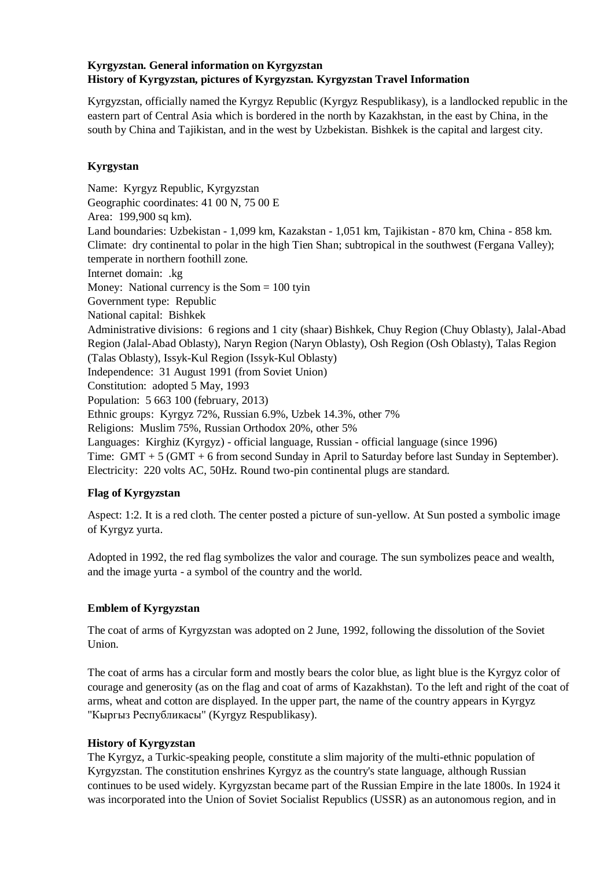# **Kyrgyzstan. General information on Kyrgyzstan History of Kyrgyzstan, pictures of Kyrgyzstan. Kyrgyzstan Travel Information**

Kyrgyzstan, officially named the Kyrgyz Republic (Kyrgyz Respublikasy), is a landlocked republic in the eastern part of Central Asia which is bordered in the north by Kazakhstan, in the east by China, in the south by China and Tajikistan, and in the west by Uzbekistan. Bishkek is the capital and largest city.

# **Kyrgystan**

Name: Kyrgyz Republic, Kyrgyzstan Geographic coordinates: 41 00 N, 75 00 E Area: 199,900 sq km). Land boundaries: Uzbekistan - 1,099 km, Kazakstan - 1,051 km, Tajikistan - 870 km, China - 858 km. Climate: dry continental to polar in the high Tien Shan; subtropical in the southwest (Fergana Valley); temperate in northern foothill zone. Internet domain: .kg Money: National currency is the  $Som = 100$  tyin Government type: Republic National capital: Bishkek Administrative divisions: 6 regions and 1 city (shaar) Bishkek, Chuy Region (Chuy Oblasty), Jalal-Abad Region (Jalal-Abad Oblasty), Naryn Region (Naryn Oblasty), Osh Region (Osh Oblasty), Talas Region (Talas Oblasty), Issyk-Kul Region (Issyk-Kul Oblasty) Independence: 31 August 1991 (from Soviet Union) Constitution: adopted 5 May, 1993 Population: 5 663 100 (february, 2013) Ethnic groups: Kyrgyz 72%, Russian 6.9%, Uzbek 14.3%, other 7% Religions: Muslim 75%, Russian Orthodox 20%, other 5% Languages: Kirghiz (Kyrgyz) - official language, Russian - official language (since 1996) Time: GMT + 5 (GMT + 6 from second Sunday in April to Saturday before last Sunday in September). Electricity: 220 volts AC, 50Hz. Round two-pin continental plugs are standard.

# **Flag of Kyrgyzstan**

Aspect: 1:2. It is a red cloth. The center posted a picture of sun-yellow. At Sun posted a symbolic image of Kyrgyz yurta.

Adopted in 1992, the red flag symbolizes the valor and courage. The sun symbolizes peace and wealth, and the image yurta - a symbol of the country and the world.

# **Emblem of Kyrgyzstan**

The coat of arms of Kyrgyzstan was adopted on 2 June, 1992, following the dissolution of the Soviet Union.

The coat of arms has a circular form and mostly bears the color blue, as light blue is the Kyrgyz color of courage and generosity (as on the flag and coat of arms of Kazakhstan). To the left and right of the coat of arms, wheat and cotton are displayed. In the upper part, the name of the country appears in Kyrgyz "Кыргыз Республикасы" (Kyrgyz Respublikasy).

# **History of Kyrgyzstan**

The Kyrgyz, a Turkic-speaking people, constitute a slim majority of the multi-ethnic population of Kyrgyzstan. The constitution enshrines Kyrgyz as the country's state language, although Russian continues to be used widely. Kyrgyzstan became part of the Russian Empire in the late 1800s. In 1924 it was incorporated into the Union of Soviet Socialist Republics (USSR) as an autonomous region, and in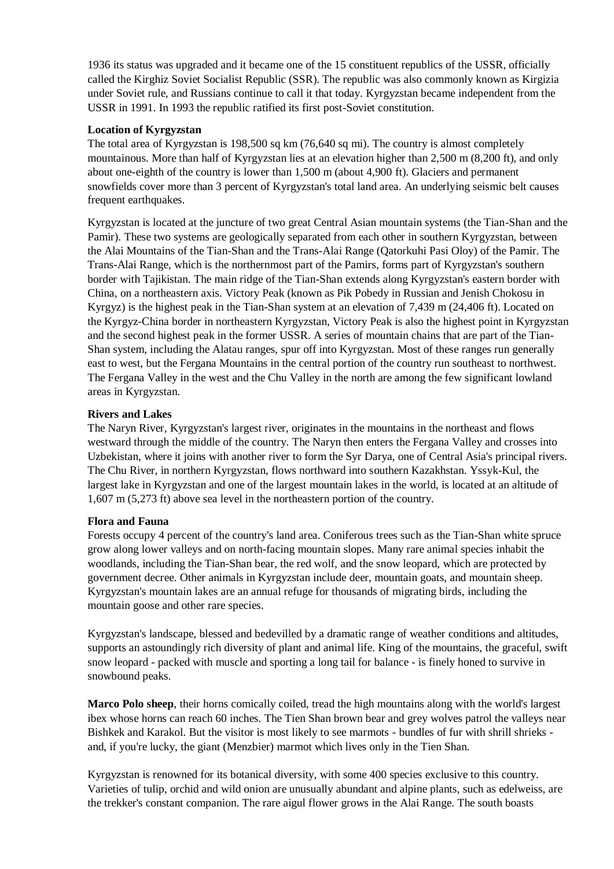1936 its status was upgraded and it became one of the 15 constituent republics of the USSR, officially called the Kirghiz Soviet Socialist Republic (SSR). The republic was also commonly known as Kirgizia under Soviet rule, and Russians continue to call it that today. Kyrgyzstan became independent from the USSR in 1991. In 1993 the republic ratified its first post-Soviet constitution.

### **Location of Kyrgyzstan**

The total area of Kyrgyzstan is 198,500 sq km (76,640 sq mi). The country is almost completely mountainous. More than half of Kyrgyzstan lies at an elevation higher than 2,500 m (8,200 ft), and only about one-eighth of the country is lower than 1,500 m (about 4,900 ft). Glaciers and permanent snowfields cover more than 3 percent of Kyrgyzstan's total land area. An underlying seismic belt causes frequent earthquakes.

Kyrgyzstan is located at the juncture of two great Central Asian mountain systems (the Tian-Shan and the Pamir). These two systems are geologically separated from each other in southern Kyrgyzstan, between the Alai Mountains of the Tian-Shan and the Trans-Alai Range (Qatorkuhi Pasi Oloy) of the Pamir. The Trans-Alai Range, which is the northernmost part of the Pamirs, forms part of Kyrgyzstan's southern border with Tajikistan. The main ridge of the Tian-Shan extends along Kyrgyzstan's eastern border with China, on a northeastern axis. Victory Peak (known as Pik Pobedy in Russian and Jenish Chokosu in Kyrgyz) is the highest peak in the Tian-Shan system at an elevation of 7,439 m (24,406 ft). Located on the Kyrgyz-China border in northeastern Kyrgyzstan, Victory Peak is also the highest point in Kyrgyzstan and the second highest peak in the former USSR. A series of mountain chains that are part of the Tian-Shan system, including the Alatau ranges, spur off into Kyrgyzstan. Most of these ranges run generally east to west, but the Fergana Mountains in the central portion of the country run southeast to northwest. The Fergana Valley in the west and the Chu Valley in the north are among the few significant lowland areas in Kyrgyzstan.

### **Rivers and Lakes**

The Naryn River, Kyrgyzstan's largest river, originates in the mountains in the northeast and flows westward through the middle of the country. The Naryn then enters the Fergana Valley and crosses into Uzbekistan, where it joins with another river to form the Syr Darya, one of Central Asia's principal rivers. The Chu River, in northern Kyrgyzstan, flows northward into southern Kazakhstan. Yssyk-Kul, the largest lake in Kyrgyzstan and one of the largest mountain lakes in the world, is located at an altitude of 1,607 m (5,273 ft) above sea level in the northeastern portion of the country.

## **Flora and Fauna**

Forests occupy 4 percent of the country's land area. Coniferous trees such as the Tian-Shan white spruce grow along lower valleys and on north-facing mountain slopes. Many rare animal species inhabit the woodlands, including the Tian-Shan bear, the red wolf, and the snow leopard, which are protected by government decree. Other animals in Kyrgyzstan include deer, mountain goats, and mountain sheep. Kyrgyzstan's mountain lakes are an annual refuge for thousands of migrating birds, including the mountain goose and other rare species.

Kyrgyzstan's landscape, blessed and bedevilled by a dramatic range of weather conditions and altitudes, supports an astoundingly rich diversity of plant and animal life. King of the mountains, the graceful, swift snow leopard - packed with muscle and sporting a long tail for balance - is finely honed to survive in snowbound peaks.

**Marco Polo sheep**, their horns comically coiled, tread the high mountains along with the world's largest ibex whose horns can reach 60 inches. The Tien Shan brown bear and grey wolves patrol the valleys near Bishkek and Karakol. But the visitor is most likely to see marmots - bundles of fur with shrill shrieks and, if you're lucky, the giant (Menzbier) marmot which lives only in the Tien Shan.

Kyrgyzstan is renowned for its botanical diversity, with some 400 species exclusive to this country. Varieties of tulip, orchid and wild onion are unusually abundant and alpine plants, such as edelweiss, are the trekker's constant companion. The rare aigul flower grows in the Alai Range. The south boasts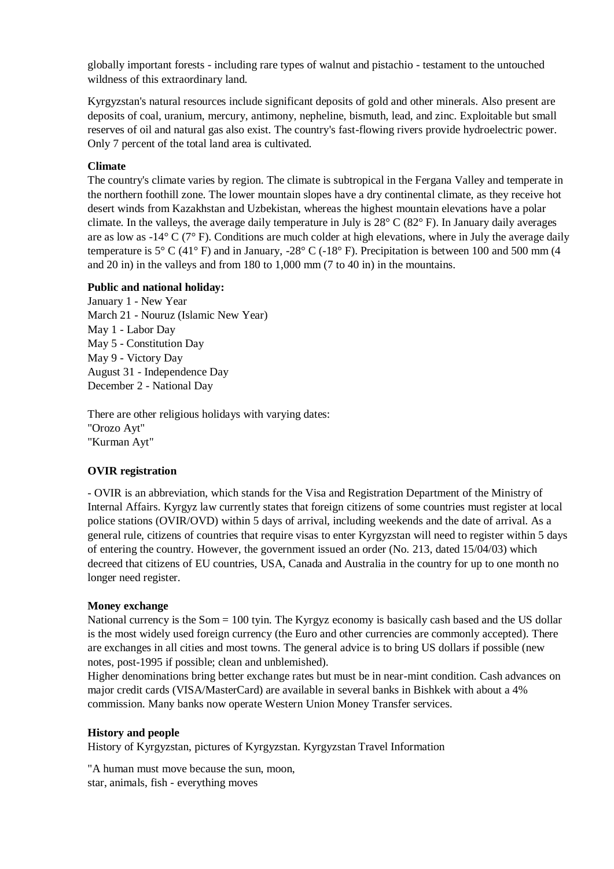globally important forests - including rare types of walnut and pistachio - testament to the untouched wildness of this extraordinary land.

Kyrgyzstan's natural resources include significant deposits of gold and other minerals. Also present are deposits of coal, uranium, mercury, antimony, nepheline, bismuth, lead, and zinc. Exploitable but small reserves of oil and natural gas also exist. The country's fast-flowing rivers provide hydroelectric power. Only 7 percent of the total land area is cultivated.

### **Climate**

The country's climate varies by region. The climate is subtropical in the Fergana Valley and temperate in the northern foothill zone. The lower mountain slopes have a dry continental climate, as they receive hot desert winds from Kazakhstan and Uzbekistan, whereas the highest mountain elevations have a polar climate. In the valleys, the average daily temperature in July is 28° C (82° F). In January daily averages are as low as -14° C (7° F). Conditions are much colder at high elevations, where in July the average daily temperature is  $5^{\circ}$  C (41° F) and in January, -28° C (-18° F). Precipitation is between 100 and 500 mm (4 and 20 in) in the valleys and from 180 to 1,000 mm (7 to 40 in) in the mountains.

#### **Public and national holiday:**

January 1 - New Year March 21 - Nouruz (Islamic New Year) May 1 - Labor Day May 5 - Constitution Day May 9 - Victory Day August 31 - Independence Day December 2 - National Day

There are other religious holidays with varying dates: "Orozo Ayt" "Kurman Ayt"

## **OVIR registration**

- OVIR is an abbreviation, which stands for the Visa and Registration Department of the Ministry of Internal Affairs. Kyrgyz law currently states that foreign citizens of some countries must register at local police stations (OVIR/OVD) within 5 days of arrival, including weekends and the date of arrival. As a general rule, citizens of countries that require visas to enter Kyrgyzstan will need to register within 5 days of entering the country. However, the government issued an order (No. 213, dated 15/04/03) which decreed that citizens of EU countries, USA, Canada and Australia in the country for up to one month no longer need register.

#### **Money exchange**

National currency is the Som = 100 tyin. The Kyrgyz economy is basically cash based and the US dollar is the most widely used foreign currency (the Euro and other currencies are commonly accepted). There are exchanges in all cities and most towns. The general advice is to bring US dollars if possible (new notes, post-1995 if possible; clean and unblemished).

Higher denominations bring better exchange rates but must be in near-mint condition. Cash advances on major credit cards (VISA/MasterCard) are available in several banks in Bishkek with about a 4% commission. Many banks now operate Western Union Money Transfer services.

#### **History and people**

History of Kyrgyzstan, pictures of Kyrgyzstan. Kyrgyzstan Travel Information

"A human must move because the sun, moon, star, animals, fish - everything moves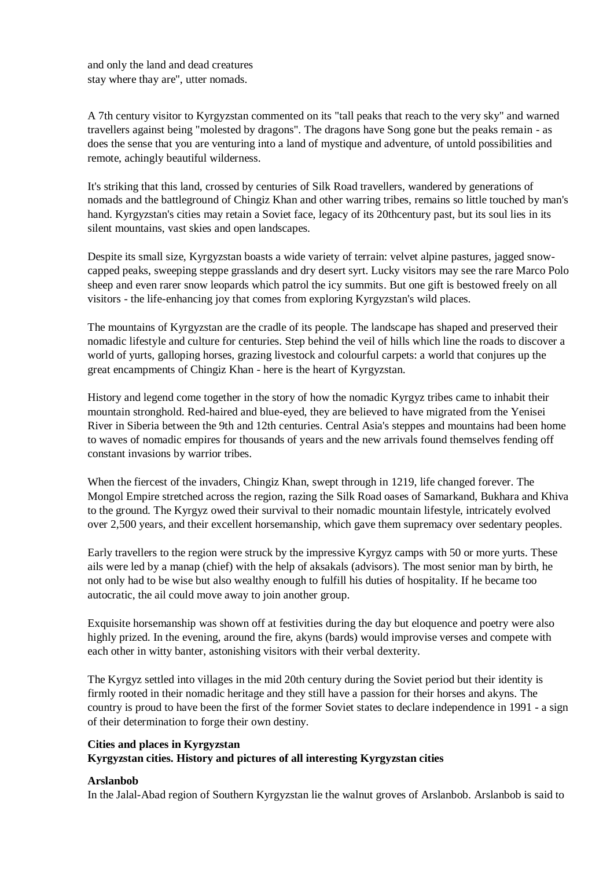and only the land and dead creatures stay where thay are", utter nomads.

A 7th century visitor to Kyrgyzstan commented on its "tall peaks that reach to the very sky" and warned travellers against being "molested by dragons". The dragons have Song gone but the peaks remain - as does the sense that you are venturing into a land of mystique and adventure, of untold possibilities and remote, achingly beautiful wilderness.

It's striking that this land, crossed by centuries of Silk Road travellers, wandered by generations of nomads and the battleground of Chingiz Khan and other warring tribes, remains so little touched by man's hand. Kyrgyzstan's cities may retain a Soviet face, legacy of its 20thcentury past, but its soul lies in its silent mountains, vast skies and open landscapes.

Despite its small size, Kyrgyzstan boasts a wide variety of terrain: velvet alpine pastures, jagged snowcapped peaks, sweeping steppe grasslands and dry desert syrt. Lucky visitors may see the rare Marco Polo sheep and even rarer snow leopards which patrol the icy summits. But one gift is bestowed freely on all visitors - the life-enhancing joy that comes from exploring Kyrgyzstan's wild places.

The mountains of Kyrgyzstan are the cradle of its people. The landscape has shaped and preserved their nomadic lifestyle and culture for centuries. Step behind the veil of hills which line the roads to discover a world of yurts, galloping horses, grazing livestock and colourful carpets: a world that conjures up the great encampments of Chingiz Khan - here is the heart of Kyrgyzstan.

History and legend come together in the story of how the nomadic Kyrgyz tribes came to inhabit their mountain stronghold. Red-haired and blue-eyed, they are believed to have migrated from the Yenisei River in Siberia between the 9th and 12th centuries. Central Asia's steppes and mountains had been home to waves of nomadic empires for thousands of years and the new arrivals found themselves fending off constant invasions by warrior tribes.

When the fiercest of the invaders, Chingiz Khan, swept through in 1219, life changed forever. The Mongol Empire stretched across the region, razing the Silk Road oases of Samarkand, Bukhara and Khiva to the ground. The Kyrgyz owed their survival to their nomadic mountain lifestyle, intricately evolved over 2,500 years, and their excellent horsemanship, which gave them supremacy over sedentary peoples.

Early travellers to the region were struck by the impressive Kyrgyz camps with 50 or more yurts. These ails were led by a manap (chief) with the help of aksakals (advisors). The most senior man by birth, he not only had to be wise but also wealthy enough to fulfill his duties of hospitality. If he became too autocratic, the ail could move away to join another group.

Exquisite horsemanship was shown off at festivities during the day but eloquence and poetry were also highly prized. In the evening, around the fire, akyns (bards) would improvise verses and compete with each other in witty banter, astonishing visitors with their verbal dexterity.

The Kyrgyz settled into villages in the mid 20th century during the Soviet period but their identity is firmly rooted in their nomadic heritage and they still have a passion for their horses and akyns. The country is proud to have been the first of the former Soviet states to declare independence in 1991 - a sign of their determination to forge their own destiny.

## **Cities and places in Kyrgyzstan Kyrgyzstan cities. History and pictures of all interesting Kyrgyzstan cities**

#### **Arslanbob**

In the Jalal-Abad region of Southern Kyrgyzstan lie the walnut groves of Arslanbob. Arslanbob is said to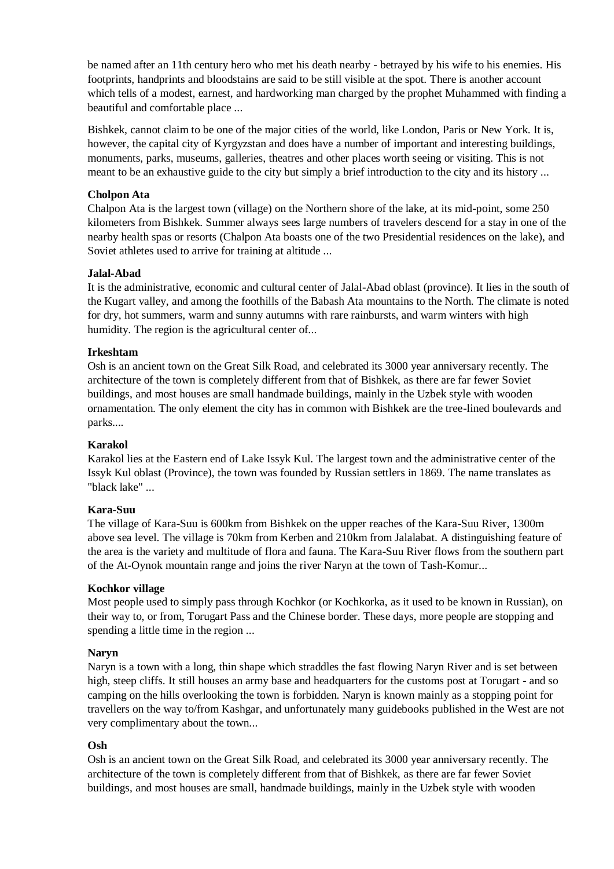be named after an 11th century hero who met his death nearby - betrayed by his wife to his enemies. His footprints, handprints and bloodstains are said to be still visible at the spot. There is another account which tells of a modest, earnest, and hardworking man charged by the prophet Muhammed with finding a beautiful and comfortable place ...

Bishkek, cannot claim to be one of the major cities of the world, like London, Paris or New York. It is, however, the capital city of Kyrgyzstan and does have a number of important and interesting buildings, monuments, parks, museums, galleries, theatres and other places worth seeing or visiting. This is not meant to be an exhaustive guide to the city but simply a brief introduction to the city and its history ...

### **Cholpon Ata**

Chalpon Ata is the largest town (village) on the Northern shore of the lake, at its mid-point, some 250 kilometers from Bishkek. Summer always sees large numbers of travelers descend for a stay in one of the nearby health spas or resorts (Chalpon Ata boasts one of the two Presidential residences on the lake), and Soviet athletes used to arrive for training at altitude ...

#### **Jalal-Abad**

It is the administrative, economic and cultural center of Jalal-Abad oblast (province). It lies in the south of the Kugart valley, and among the foothills of the Babash Ata mountains to the North. The climate is noted for dry, hot summers, warm and sunny autumns with rare rainbursts, and warm winters with high humidity. The region is the agricultural center of...

### **Irkeshtam**

Osh is an ancient town on the Great Silk Road, and celebrated its 3000 year anniversary recently. The architecture of the town is completely different from that of Bishkek, as there are far fewer Soviet buildings, and most houses are small handmade buildings, mainly in the Uzbek style with wooden ornamentation. The only element the city has in common with Bishkek are the tree-lined boulevards and parks....

## **Karakol**

Karakol lies at the Eastern end of Lake Issyk Kul. The largest town and the administrative center of the Issyk Kul oblast (Province), the town was founded by Russian settlers in 1869. The name translates as "black lake" ...

#### **Kara-Suu**

The village of Kara-Suu is 600km from Bishkek on the upper reaches of the Kara-Suu River, 1300m above sea level. The village is 70km from Kerben and 210km from Jalalabat. A distinguishing feature of the area is the variety and multitude of flora and fauna. The Kara-Suu River flows from the southern part of the At-Oynok mountain range and joins the river Naryn at the town of Tash-Komur...

#### **Kochkor village**

Most people used to simply pass through Kochkor (or Kochkorka, as it used to be known in Russian), on their way to, or from, Torugart Pass and the Chinese border. These days, more people are stopping and spending a little time in the region ...

#### **Naryn**

Naryn is a town with a long, thin shape which straddles the fast flowing Naryn River and is set between high, steep cliffs. It still houses an army base and headquarters for the customs post at Torugart - and so camping on the hills overlooking the town is forbidden. Naryn is known mainly as a stopping point for travellers on the way to/from Kashgar, and unfortunately many guidebooks published in the West are not very complimentary about the town...

#### **Osh**

Osh is an ancient town on the Great Silk Road, and celebrated its 3000 year anniversary recently. The architecture of the town is completely different from that of Bishkek, as there are far fewer Soviet buildings, and most houses are small, handmade buildings, mainly in the Uzbek style with wooden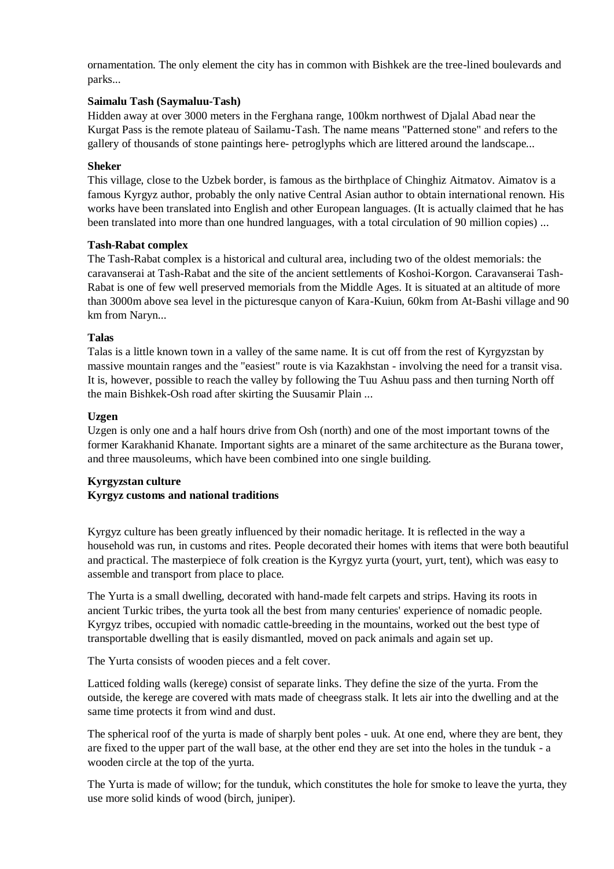ornamentation. The only element the city has in common with Bishkek are the tree-lined boulevards and parks...

### **Saimalu Tash (Saymaluu-Tash)**

Hidden away at over 3000 meters in the Ferghana range, 100km northwest of Djalal Abad near the Kurgat Pass is the remote plateau of Sailamu-Tash. The name means "Patterned stone" and refers to the gallery of thousands of stone paintings here- petroglyphs which are littered around the landscape...

### **Sheker**

This village, close to the Uzbek border, is famous as the birthplace of Chinghiz Aitmatov. Aimatov is a famous Kyrgyz author, probably the only native Central Asian author to obtain international renown. His works have been translated into English and other European languages. (It is actually claimed that he has been translated into more than one hundred languages, with a total circulation of 90 million copies) ...

### **Tash-Rabat complex**

The Tash-Rabat complex is a historical and cultural area, including two of the oldest memorials: the caravanserai at Tash-Rabat and the site of the ancient settlements of Koshoi-Korgon. Caravanserai Tash-Rabat is one of few well preserved memorials from the Middle Ages. It is situated at an altitude of more than 3000m above sea level in the picturesque canyon of Kara-Kuiun, 60km from At-Bashi village and 90 km from Naryn...

### **Talas**

Talas is a little known town in a valley of the same name. It is cut off from the rest of Kyrgyzstan by massive mountain ranges and the "easiest" route is via Kazakhstan - involving the need for a transit visa. It is, however, possible to reach the valley by following the Tuu Ashuu pass and then turning North off the main Bishkek-Osh road after skirting the Suusamir Plain ...

### **Uzgen**

Uzgen is only one and a half hours drive from Osh (north) and one of the most important towns of the former Karakhanid Khanate. Important sights are a minaret of the same architecture as the Burana tower, and three mausoleums, which have been combined into one single building.

## **Kyrgyzstan culture Kyrgyz customs and national traditions**

Kyrgyz culture has been greatly influenced by their nomadic heritage. It is reflected in the way a household was run, in customs and rites. People decorated their homes with items that were both beautiful and practical. The masterpiece of folk creation is the Kyrgyz yurta (yourt, yurt, tent), which was easy to assemble and transport from place to place.

The Yurta is a small dwelling, decorated with hand-made felt carpets and strips. Having its roots in ancient Turkic tribes, the yurta took all the best from many centuries' experience of nomadic people. Kyrgyz tribes, occupied with nomadic cattle-breeding in the mountains, worked out the best type of transportable dwelling that is easily dismantled, moved on pack animals and again set up.

The Yurta consists of wooden pieces and a felt cover.

Latticed folding walls (kerege) consist of separate links. They define the size of the yurta. From the outside, the kerege are covered with mats made of cheegrass stalk. It lets air into the dwelling and at the same time protects it from wind and dust.

The spherical roof of the yurta is made of sharply bent poles - uuk. At one end, where they are bent, they are fixed to the upper part of the wall base, at the other end they are set into the holes in the tunduk - a wooden circle at the top of the yurta.

The Yurta is made of willow; for the tunduk, which constitutes the hole for smoke to leave the yurta, they use more solid kinds of wood (birch, juniper).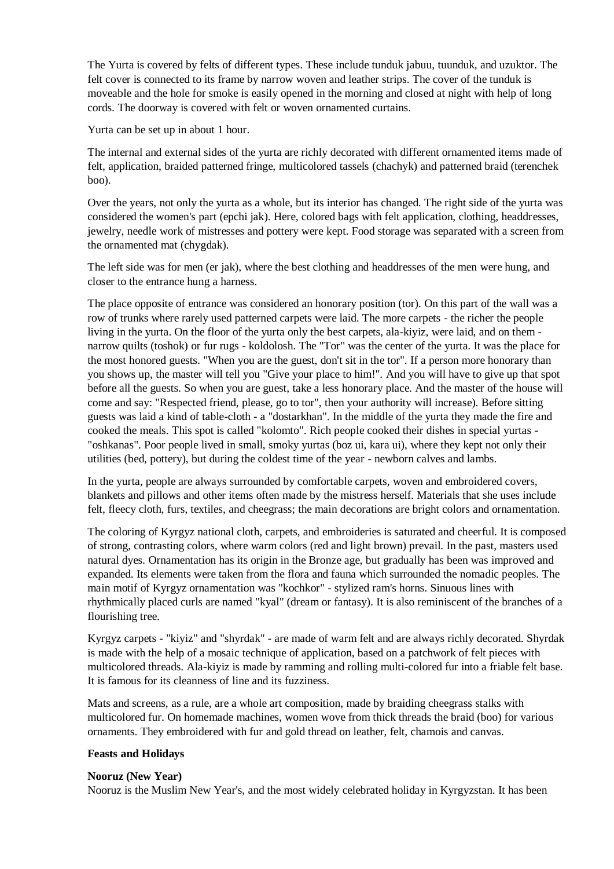The Yurta is covered by felts of different types. These include tunduk jabuu, tuunduk, and uzuktor. The felt cover is connected to its frame by narrow woven and leather strips. The cover of the tunduk is moveable and the hole for smoke is easily opened in the morning and closed at night with help of long cords. The doorway is covered with felt or woven ornamented curtains.

Yurta can be set up in about 1 hour.

The internal and external sides of the yurta are richly decorated with different ornamented items made of felt, application, braided patterned fringe, multicolored tassels (chachyk) and patterned braid (terenchek boo).

Over the years, not only the yurta as a whole, but its interior has changed. The right side of the yurta was considered the women's part (epchi jak). Here, colored bags with felt application, clothing, headdresses, jewelry, needle work of mistresses and pottery were kept. Food storage was separated with a screen from the ornamented mat (chygdak).

The left side was for men (er jak), where the best clothing and headdresses of the men were hung, and closer to the entrance hung a harness.

The place opposite of entrance was considered an honorary position (tor). On this part of the wall was a row of trunks where rarely used patterned carpets were laid. The more carpets - the richer the people living in the yurta. On the floor of the yurta only the best carpets, ala-kiyiz, were laid, and on them narrow quilts (toshok) or fur rugs - koldolosh. The "Tor" was the center of the yurta. It was the place for the most honored guests. "When you are the guest, don't sit in the tor". If a person more honorary than you shows up, the master will tell you "Give your place to him!". And you will have to give up that spot before all the guests. So when you are guest, take a less honorary place. And the master of the house will come and say: "Respected friend, please, go to tor", then your authority will increase). Before sitting guests was laid a kind of table-cloth - a "dostarkhan". In the middle of the yurta they made the fire and cooked the meals. This spot is called "kolomto". Rich people cooked their dishes in special yurtas - "oshkanas". Poor people lived in small, smoky yurtas (boz ui, kara ui), where they kept not only their utilities (bed, pottery), but during the coldest time of the year - newborn calves and lambs.

In the yurta, people are always surrounded by comfortable carpets, woven and embroidered covers, blankets and pillows and other items often made by the mistress herself. Materials that she uses include felt, fleecy cloth, furs, textiles, and cheegrass; the main decorations are bright colors and ornamentation.

The coloring of Kyrgyz national cloth, carpets, and embroideries is saturated and cheerful. It is composed of strong, contrasting colors, where warm colors (red and light brown) prevail. In the past, masters used natural dyes. Ornamentation has its origin in the Bronze age, but gradually has been was improved and expanded. Its elements were taken from the flora and fauna which surrounded the nomadic peoples. The main motif of Kyrgyz ornamentation was "kochkor" - stylized ram's horns. Sinuous lines with rhythmically placed curls are named "kyal" (dream or fantasy). It is also reminiscent of the branches of a flourishing tree.

Kyrgyz carpets - "kiyiz" and "shyrdak" - are made of warm felt and are always richly decorated. Shyrdak is made with the help of a mosaic technique of application, based on a patchwork of felt pieces with multicolored threads. Ala-kiyiz is made by ramming and rolling multi-colored fur into a friable felt base. It is famous for its cleanness of line and its fuzziness.

Mats and screens, as a rule, are a whole art composition, made by braiding cheegrass stalks with multicolored fur. On homemade machines, women wove from thick threads the braid (boo) for various ornaments. They embroidered with fur and gold thread on leather, felt, chamois and canvas.

## **Feasts and Holidays**

#### **Nooruz (New Year)**

Nooruz is the Muslim New Year's, and the most widely celebrated holiday in Kyrgyzstan. It has been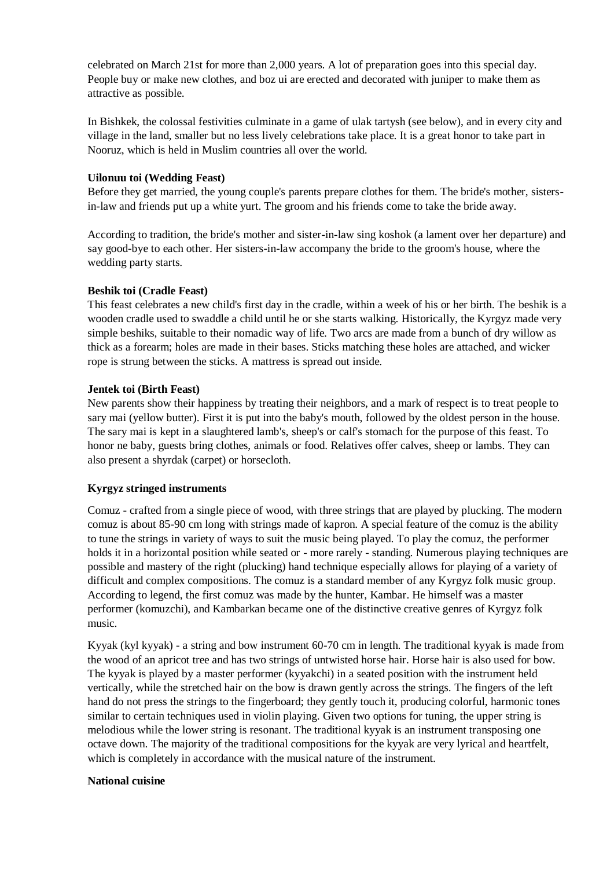celebrated on March 21st for more than 2,000 years. A lot of preparation goes into this special day. People buy or make new clothes, and boz ui are erected and decorated with juniper to make them as attractive as possible.

In Bishkek, the colossal festivities culminate in a game of ulak tartysh (see below), and in every city and village in the land, smaller but no less lively celebrations take place. It is a great honor to take part in Nooruz, which is held in Muslim countries all over the world.

### **Uilonuu toi (Wedding Feast)**

Before they get married, the young couple's parents prepare clothes for them. The bride's mother, sistersin-law and friends put up a white yurt. The groom and his friends come to take the bride away.

According to tradition, the bride's mother and sister-in-law sing koshok (a lament over her departure) and say good-bye to each other. Her sisters-in-law accompany the bride to the groom's house, where the wedding party starts.

### **Beshik toi (Cradle Feast)**

This feast celebrates a new child's first day in the cradle, within a week of his or her birth. The beshik is a wooden cradle used to swaddle a child until he or she starts walking. Historically, the Kyrgyz made very simple beshiks, suitable to their nomadic way of life. Two arcs are made from a bunch of dry willow as thick as a forearm; holes are made in their bases. Sticks matching these holes are attached, and wicker rope is strung between the sticks. A mattress is spread out inside.

### **Jentek toi (Birth Feast)**

New parents show their happiness by treating their neighbors, and a mark of respect is to treat people to sary mai (yellow butter). First it is put into the baby's mouth, followed by the oldest person in the house. The sary mai is kept in a slaughtered lamb's, sheep's or calf's stomach for the purpose of this feast. To honor ne baby, guests bring clothes, animals or food. Relatives offer calves, sheep or lambs. They can also present a shyrdak (carpet) or horsecloth.

## **Kyrgyz stringed instruments**

Comuz - crafted from a single piece of wood, with three strings that are played by plucking. The modern comuz is about 85-90 cm long with strings made of kapron. A special feature of the comuz is the ability to tune the strings in variety of ways to suit the music being played. To play the comuz, the performer holds it in a horizontal position while seated or - more rarely - standing. Numerous playing techniques are possible and mastery of the right (plucking) hand technique especially allows for playing of a variety of difficult and complex compositions. The comuz is a standard member of any Kyrgyz folk music group. According to legend, the first comuz was made by the hunter, Kambar. He himself was a master performer (komuzchi), and Kambarkan became one of the distinctive creative genres of Kyrgyz folk music.

Kyyak (kyl kyyak) - a string and bow instrument 60-70 cm in length. The traditional kyyak is made from the wood of an apricot tree and has two strings of untwisted horse hair. Horse hair is also used for bow. The kyyak is played by a master performer (kyyakchi) in a seated position with the instrument held vertically, while the stretched hair on the bow is drawn gently across the strings. The fingers of the left hand do not press the strings to the fingerboard; they gently touch it, producing colorful, harmonic tones similar to certain techniques used in violin playing. Given two options for tuning, the upper string is melodious while the lower string is resonant. The traditional kyyak is an instrument transposing one octave down. The majority of the traditional compositions for the kyyak are very lyrical and heartfelt, which is completely in accordance with the musical nature of the instrument.

#### **National cuisine**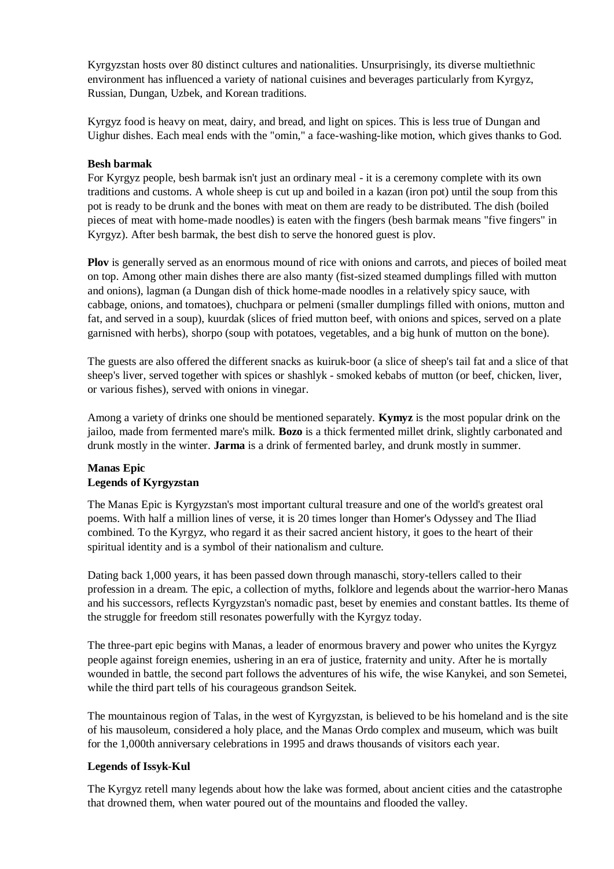Kyrgyzstan hosts over 80 distinct cultures and nationalities. Unsurprisingly, its diverse multiethnic environment has influenced a variety of national cuisines and beverages particularly from Kyrgyz, Russian, Dungan, Uzbek, and Korean traditions.

Kyrgyz food is heavy on meat, dairy, and bread, and light on spices. This is less true of Dungan and Uighur dishes. Each meal ends with the "omin," a face-washing-like motion, which gives thanks to God.

### **Besh barmak**

For Kyrgyz people, besh barmak isn't just an ordinary meal - it is a ceremony complete with its own traditions and customs. A whole sheep is cut up and boiled in a kazan (iron pot) until the soup from this pot is ready to be drunk and the bones with meat on them are ready to be distributed. The dish (boiled pieces of meat with home-made noodles) is eaten with the fingers (besh barmak means "five fingers" in Kyrgyz). After besh barmak, the best dish to serve the honored guest is plov.

**Plov** is generally served as an enormous mound of rice with onions and carrots, and pieces of boiled meat on top. Among other main dishes there are also manty (fist-sized steamed dumplings filled with mutton and onions), lagman (a Dungan dish of thick home-made noodles in a relatively spicy sauce, with cabbage, onions, and tomatoes), chuchpara or pelmeni (smaller dumplings filled with onions, mutton and fat, and served in a soup), kuurdak (slices of fried mutton beef, with onions and spices, served on a plate garnisned with herbs), shorpo (soup with potatoes, vegetables, and a big hunk of mutton on the bone).

The guests are also offered the different snacks as kuiruk-boor (a slice of sheep's tail fat and a slice of that sheep's liver, served together with spices or shashlyk - smoked kebabs of mutton (or beef, chicken, liver, or various fishes), served with onions in vinegar.

Among a variety of drinks one should be mentioned separately. **Kymyz** is the most popular drink on the jailoo, made from fermented mare's milk. **Bozo** is a thick fermented millet drink, slightly carbonated and drunk mostly in the winter. **Jarma** is a drink of fermented barley, and drunk mostly in summer.

## **Manas Epic Legends of Kyrgyzstan**

The Manas Epic is Kyrgyzstan's most important cultural treasure and one of the world's greatest oral poems. With half a million lines of verse, it is 20 times longer than Homer's Odyssey and The Iliad combined. To the Kyrgyz, who regard it as their sacred ancient history, it goes to the heart of their spiritual identity and is a symbol of their nationalism and culture.

Dating back 1,000 years, it has been passed down through manaschi, story-tellers called to their profession in a dream. The epic, a collection of myths, folklore and legends about the warrior-hero Manas and his successors, reflects Kyrgyzstan's nomadic past, beset by enemies and constant battles. Its theme of the struggle for freedom still resonates powerfully with the Kyrgyz today.

The three-part epic begins with Manas, a leader of enormous bravery and power who unites the Kyrgyz people against foreign enemies, ushering in an era of justice, fraternity and unity. After he is mortally wounded in battle, the second part follows the adventures of his wife, the wise Kanykei, and son Semetei, while the third part tells of his courageous grandson Seitek.

The mountainous region of Talas, in the west of Kyrgyzstan, is believed to be his homeland and is the site of his mausoleum, considered a holy place, and the Manas Ordo complex and museum, which was built for the 1,000th anniversary celebrations in 1995 and draws thousands of visitors each year.

## **Legends of Issyk-Kul**

The Kyrgyz retell many legends about how the lake was formed, about ancient cities and the catastrophe that drowned them, when water poured out of the mountains and flooded the valley.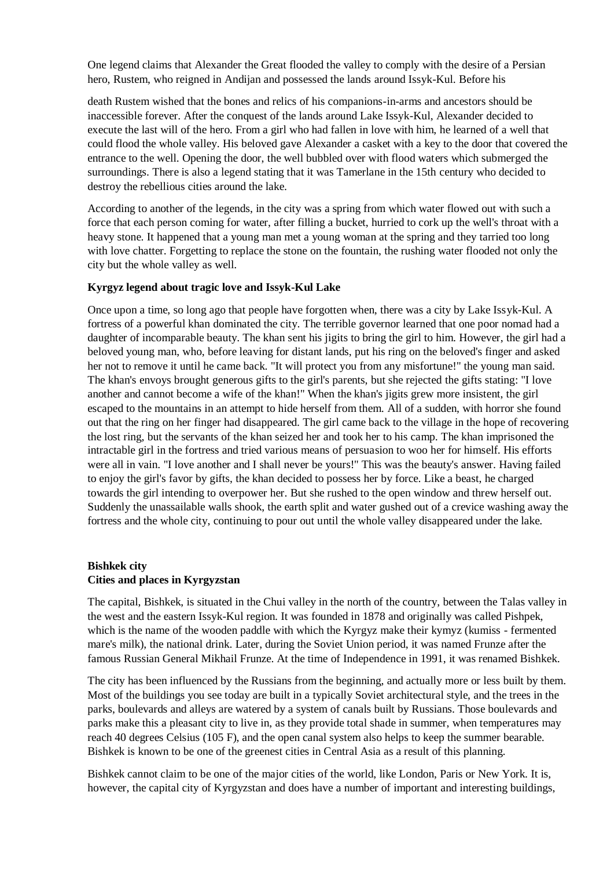One legend claims that Alexander the Great flooded the valley to comply with the desire of a Persian hero, Rustem, who reigned in Andijan and possessed the lands around Issyk-Kul. Before his

death Rustem wished that the bones and relics of his companions-in-arms and ancestors should be inaccessible forever. After the conquest of the lands around Lake Issyk-Kul, Alexander decided to execute the last will of the hero. From a girl who had fallen in love with him, he learned of a well that could flood the whole valley. His beloved gave Alexander a casket with a key to the door that covered the entrance to the well. Opening the door, the well bubbled over with flood waters which submerged the surroundings. There is also a legend stating that it was Tamerlane in the 15th century who decided to destroy the rebellious cities around the lake.

According to another of the legends, in the city was a spring from which water flowed out with such a force that each person coming for water, after filling a bucket, hurried to cork up the well's throat with a heavy stone. It happened that a young man met a young woman at the spring and they tarried too long with love chatter. Forgetting to replace the stone on the fountain, the rushing water flooded not only the city but the whole valley as well.

#### **Kyrgyz legend about tragic love and Issyk-Kul Lake**

Once upon a time, so long ago that people have forgotten when, there was a city by Lake Issyk-Kul. A fortress of a powerful khan dominated the city. The terrible governor learned that one poor nomad had a daughter of incomparable beauty. The khan sent his jigits to bring the girl to him. However, the girl had a beloved young man, who, before leaving for distant lands, put his ring on the beloved's finger and asked her not to remove it until he came back. "It will protect you from any misfortune!" the young man said. The khan's envoys brought generous gifts to the girl's parents, but she rejected the gifts stating: "I love another and cannot become a wife of the khan!" When the khan's jigits grew more insistent, the girl escaped to the mountains in an attempt to hide herself from them. All of a sudden, with horror she found out that the ring on her finger had disappeared. The girl came back to the village in the hope of recovering the lost ring, but the servants of the khan seized her and took her to his camp. The khan imprisoned the intractable girl in the fortress and tried various means of persuasion to woo her for himself. His efforts were all in vain. "I love another and I shall never be yours!" This was the beauty's answer. Having failed to enjoy the girl's favor by gifts, the khan decided to possess her by force. Like a beast, he charged towards the girl intending to overpower her. But she rushed to the open window and threw herself out. Suddenly the unassailable walls shook, the earth split and water gushed out of a crevice washing away the fortress and the whole city, continuing to pour out until the whole valley disappeared under the lake.

## **Bishkek city Cities and places in Kyrgyzstan**

The capital, Bishkek, is situated in the Chui valley in the north of the country, between the Talas valley in the west and the eastern Issyk-Kul region. It was founded in 1878 and originally was called Pishpek, which is the name of the wooden paddle with which the Kyrgyz make their kymyz (kumiss - fermented mare's milk), the national drink. Later, during the Soviet Union period, it was named Frunze after the famous Russian General Mikhail Frunze. At the time of Independence in 1991, it was renamed Bishkek.

The city has been influenced by the Russians from the beginning, and actually more or less built by them. Most of the buildings you see today are built in a typically Soviet architectural style, and the trees in the parks, boulevards and alleys are watered by a system of canals built by Russians. Those boulevards and parks make this a pleasant city to live in, as they provide total shade in summer, when temperatures may reach 40 degrees Celsius (105 F), and the open canal system also helps to keep the summer bearable. Bishkek is known to be one of the greenest cities in Central Asia as a result of this planning.

Bishkek cannot claim to be one of the major cities of the world, like London, Paris or New York. It is, however, the capital city of Kyrgyzstan and does have a number of important and interesting buildings,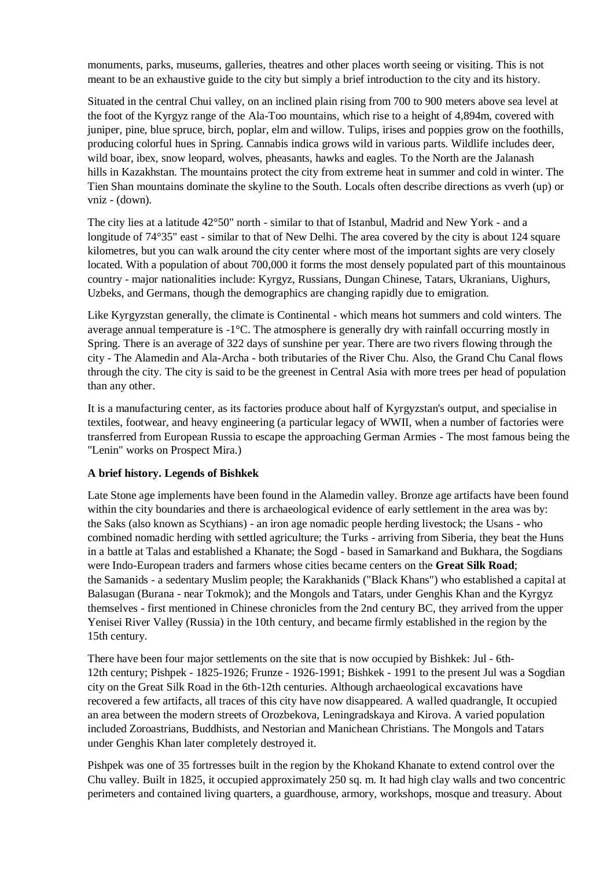monuments, parks, museums, galleries, theatres and other places worth seeing or visiting. This is not meant to be an exhaustive guide to the city but simply a brief introduction to the city and its history.

Situated in the central Chui valley, on an inclined plain rising from 700 to 900 meters above sea level at the foot of the Kyrgyz range of the Ala-Too mountains, which rise to a height of 4,894m, covered with juniper, pine, blue spruce, birch, poplar, elm and willow. Tulips, irises and poppies grow on the foothills, producing colorful hues in Spring. Cannabis indica grows wild in various parts. Wildlife includes deer, wild boar, ibex, snow leopard, wolves, pheasants, hawks and eagles. To the North are the Jalanash hills in Kazakhstan. The mountains protect the city from extreme heat in summer and cold in winter. The Tien Shan mountains dominate the skyline to the South. Locals often describe directions as vverh (up) or vniz - (down).

The city lies at a latitude 42°50" north - similar to that of Istanbul, Madrid and New York - and a longitude of 74°35" east - similar to that of New Delhi. The area covered by the city is about 124 square kilometres, but you can walk around the city center where most of the important sights are very closely located. With a population of about 700,000 it forms the most densely populated part of this mountainous country - major nationalities include: Kyrgyz, Russians, Dungan Chinese, Tatars, Ukranians, Uighurs, Uzbeks, and Germans, though the demographics are changing rapidly due to emigration.

Like Kyrgyzstan generally, the climate is Continental - which means hot summers and cold winters. The average annual temperature is  $-1^{\circ}C$ . The atmosphere is generally dry with rainfall occurring mostly in Spring. There is an average of 322 days of sunshine per year. There are two rivers flowing through the city - The Alamedin and Ala-Archa - both tributaries of the River Chu. Also, the Grand Chu Canal flows through the city. The city is said to be the greenest in Central Asia with more trees per head of population than any other.

It is a manufacturing center, as its factories produce about half of Kyrgyzstan's output, and specialise in textiles, footwear, and heavy engineering (a particular legacy of WWII, when a number of factories were transferred from European Russia to escape the approaching German Armies - The most famous being the "Lenin" works on Prospect Mira.)

## **A brief history. Legends of Bishkek**

Late Stone age implements have been found in the Alamedin valley. Bronze age artifacts have been found within the city boundaries and there is archaeological evidence of early settlement in the area was by: the Saks (also known as Scythians) - an iron age nomadic people herding livestock; the Usans - who combined nomadic herding with settled agriculture; the Turks - arriving from Siberia, they beat the Huns in a battle at Talas and established a Khanate; the Sogd - based in Samarkand and Bukhara, the Sogdians were Indo-European traders and farmers whose cities became centers on the **Great Silk Road**; the Samanids - a sedentary Muslim people; the Karakhanids ("Black Khans") who established a capital at Balasugan (Burana - near Tokmok); and the Mongols and Tatars, under Genghis Khan and the Kyrgyz themselves - first mentioned in Chinese chronicles from the 2nd century BC, they arrived from the upper Yenisei River Valley (Russia) in the 10th century, and became firmly established in the region by the 15th century.

There have been four major settlements on the site that is now occupied by Bishkek: Jul - 6th-12th century; Pishpek - 1825-1926; Frunze - 1926-1991; Bishkek - 1991 to the present Jul was a Sogdian city on the Great Silk Road in the 6th-12th centuries. Although archaeological excavations have recovered a few artifacts, all traces of this city have now disappeared. A walled quadrangle, It occupied an area between the modern streets of Orozbekova, Leningradskaya and Kirova. A varied population included Zoroastrians, Buddhists, and Nestorian and Manichean Christians. The Mongols and Tatars under Genghis Khan later completely destroyed it.

Pishpek was one of 35 fortresses built in the region by the Khokand Khanate to extend control over the Chu valley. Built in 1825, it occupied approximately 250 sq. m. It had high clay walls and two concentric perimeters and contained living quarters, a guardhouse, armory, workshops, mosque and treasury. About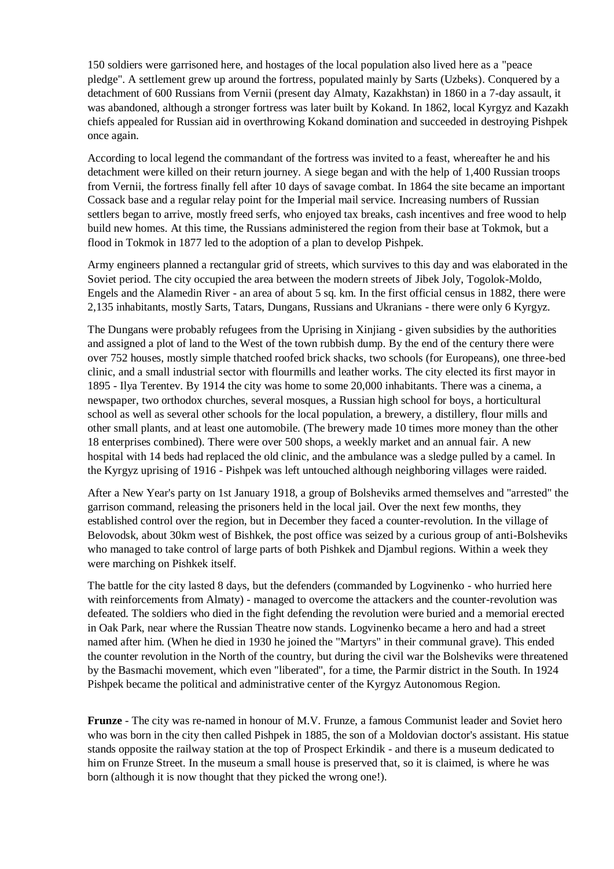150 soldiers were garrisoned here, and hostages of the local population also lived here as a "peace pledge". A settlement grew up around the fortress, populated mainly by Sarts (Uzbeks). Conquered by a detachment of 600 Russians from Vernii (present day Almaty, Kazakhstan) in 1860 in a 7-day assault, it was abandoned, although a stronger fortress was later built by Kokand. In 1862, local Kyrgyz and Kazakh chiefs appealed for Russian aid in overthrowing Kokand domination and succeeded in destroying Pishpek once again.

According to local legend the commandant of the fortress was invited to a feast, whereafter he and his detachment were killed on their return journey. A siege began and with the help of 1,400 Russian troops from Vernii, the fortress finally fell after 10 days of savage combat. In 1864 the site became an important Cossack base and a regular relay point for the Imperial mail service. Increasing numbers of Russian settlers began to arrive, mostly freed serfs, who enjoyed tax breaks, cash incentives and free wood to help build new homes. At this time, the Russians administered the region from their base at Tokmok, but a flood in Tokmok in 1877 led to the adoption of a plan to develop Pishpek.

Army engineers planned a rectangular grid of streets, which survives to this day and was elaborated in the Soviet period. The city occupied the area between the modern streets of Jibek Joly, Togolok-Moldo, Engels and the Alamedin River - an area of about 5 sq. km. In the first official census in 1882, there were 2,135 inhabitants, mostly Sarts, Tatars, Dungans, Russians and Ukranians - there were only 6 Kyrgyz.

The Dungans were probably refugees from the Uprising in Xinjiang - given subsidies by the authorities and assigned a plot of land to the West of the town rubbish dump. By the end of the century there were over 752 houses, mostly simple thatched roofed brick shacks, two schools (for Europeans), one three-bed clinic, and a small industrial sector with flourmills and leather works. The city elected its first mayor in 1895 - Ilya Terentev. By 1914 the city was home to some 20,000 inhabitants. There was a cinema, a newspaper, two orthodox churches, several mosques, a Russian high school for boys, a horticultural school as well as several other schools for the local population, a brewery, a distillery, flour mills and other small plants, and at least one automobile. (The brewery made 10 times more money than the other 18 enterprises combined). There were over 500 shops, a weekly market and an annual fair. A new hospital with 14 beds had replaced the old clinic, and the ambulance was a sledge pulled by a camel. In the Kyrgyz uprising of 1916 - Pishpek was left untouched although neighboring villages were raided.

After a New Year's party on 1st January 1918, a group of Bolsheviks armed themselves and "arrested" the garrison command, releasing the prisoners held in the local jail. Over the next few months, they established control over the region, but in December they faced a counter-revolution. In the village of Belovodsk, about 30km west of Bishkek, the post office was seized by a curious group of anti-Bolsheviks who managed to take control of large parts of both Pishkek and Djambul regions. Within a week they were marching on Pishkek itself.

The battle for the city lasted 8 days, but the defenders (commanded by Logvinenko - who hurried here with reinforcements from Almaty) - managed to overcome the attackers and the counter-revolution was defeated. The soldiers who died in the fight defending the revolution were buried and a memorial erected in Oak Park, near where the Russian Theatre now stands. Logvinenko became a hero and had a street named after him. (When he died in 1930 he joined the "Martyrs" in their communal grave). This ended the counter revolution in the North of the country, but during the civil war the Bolsheviks were threatened by the Basmachi movement, which even "liberated", for a time, the Parmir district in the South. In 1924 Pishpek became the political and administrative center of the Kyrgyz Autonomous Region.

**Frunze** - The city was re-named in honour of M.V. Frunze, a famous Communist leader and Soviet hero who was born in the city then called Pishpek in 1885, the son of a Moldovian doctor's assistant. His statue stands opposite the railway station at the top of Prospect Erkindik - and there is a museum dedicated to him on Frunze Street. In the museum a small house is preserved that, so it is claimed, is where he was born (although it is now thought that they picked the wrong one!).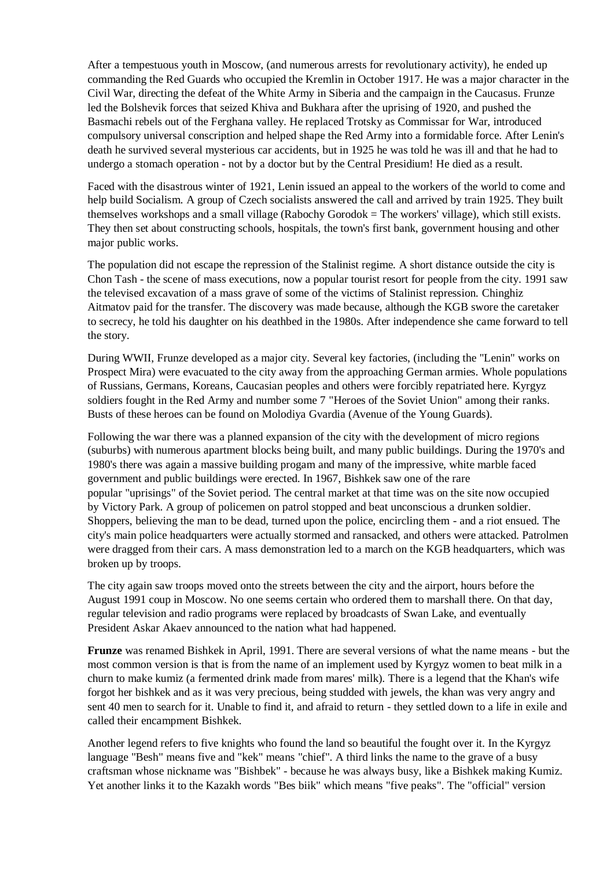After a tempestuous youth in Moscow, (and numerous arrests for revolutionary activity), he ended up commanding the Red Guards who occupied the Kremlin in October 1917. He was a major character in the Civil War, directing the defeat of the White Army in Siberia and the campaign in the Caucasus. Frunze led the Bolshevik forces that seized Khiva and Bukhara after the uprising of 1920, and pushed the Basmachi rebels out of the Ferghana valley. He replaced Trotsky as Commissar for War, introduced compulsory universal conscription and helped shape the Red Army into a formidable force. After Lenin's death he survived several mysterious car accidents, but in 1925 he was told he was ill and that he had to undergo a stomach operation - not by a doctor but by the Central Presidium! He died as a result.

Faced with the disastrous winter of 1921, Lenin issued an appeal to the workers of the world to come and help build Socialism. A group of Czech socialists answered the call and arrived by train 1925. They built themselves workshops and a small village (Rabochy Gorodok = The workers' village), which still exists. They then set about constructing schools, hospitals, the town's first bank, government housing and other major public works.

The population did not escape the repression of the Stalinist regime. A short distance outside the city is Chon Tash - the scene of mass executions, now a popular tourist resort for people from the city. 1991 saw the televised excavation of a mass grave of some of the victims of Stalinist repression. Chinghiz Aitmatov paid for the transfer. The discovery was made because, although the KGB swore the caretaker to secrecy, he told his daughter on his deathbed in the 1980s. After independence she came forward to tell the story.

During WWII, Frunze developed as a major city. Several key factories, (including the "Lenin" works on Prospect Mira) were evacuated to the city away from the approaching German armies. Whole populations of Russians, Germans, Koreans, Caucasian peoples and others were forcibly repatriated here. Kyrgyz soldiers fought in the Red Army and number some 7 "Heroes of the Soviet Union" among their ranks. Busts of these heroes can be found on Molodiya Gvardia (Avenue of the Young Guards).

Following the war there was a planned expansion of the city with the development of micro regions (suburbs) with numerous apartment blocks being built, and many public buildings. During the 1970's and 1980's there was again a massive building progam and many of the impressive, white marble faced government and public buildings were erected. In 1967, Bishkek saw one of the rare popular "uprisings" of the Soviet period. The central market at that time was on the site now occupied by Victory Park. A group of policemen on patrol stopped and beat unconscious a drunken soldier. Shoppers, believing the man to be dead, turned upon the police, encircling them - and a riot ensued. The city's main police headquarters were actually stormed and ransacked, and others were attacked. Patrolmen were dragged from their cars. A mass demonstration led to a march on the KGB headquarters, which was broken up by troops.

The city again saw troops moved onto the streets between the city and the airport, hours before the August 1991 coup in Moscow. No one seems certain who ordered them to marshall there. On that day, regular television and radio programs were replaced by broadcasts of Swan Lake, and eventually President Askar Akaev announced to the nation what had happened.

**Frunze** was renamed Bishkek in April, 1991. There are several versions of what the name means - but the most common version is that is from the name of an implement used by Kyrgyz women to beat milk in a churn to make kumiz (a fermented drink made from mares' milk). There is a legend that the Khan's wife forgot her bishkek and as it was very precious, being studded with jewels, the khan was very angry and sent 40 men to search for it. Unable to find it, and afraid to return - they settled down to a life in exile and called their encampment Bishkek.

Another legend refers to five knights who found the land so beautiful the fought over it. In the Kyrgyz language "Besh" means five and "kek" means "chief". A third links the name to the grave of a busy craftsman whose nickname was "Bishbek" - because he was always busy, like a Bishkek making Kumiz. Yet another links it to the Kazakh words "Bes biik" which means "five peaks". The "official" version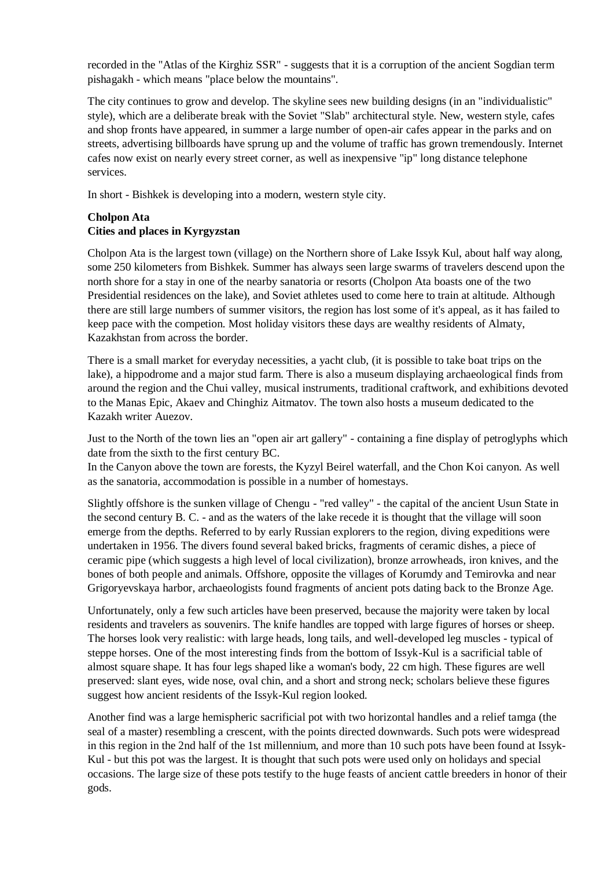recorded in the "Atlas of the Kirghiz SSR" - suggests that it is a corruption of the ancient Sogdian term pishagakh - which means "place below the mountains".

The city continues to grow and develop. The skyline sees new building designs (in an "individualistic" style), which are a deliberate break with the Soviet "Slab" architectural style. New, western style, cafes and shop fronts have appeared, in summer a large number of open-air cafes appear in the parks and on streets, advertising billboards have sprung up and the volume of traffic has grown tremendously. Internet cafes now exist on nearly every street corner, as well as inexpensive "ip" long distance telephone services.

In short - Bishkek is developing into a modern, western style city.

## **Cholpon Ata Cities and places in Kyrgyzstan**

Cholpon Ata is the largest town (village) on the Northern shore of Lake Issyk Kul, about half way along, some 250 kilometers from Bishkek. Summer has always seen large swarms of travelers descend upon the north shore for a stay in one of the nearby sanatoria or resorts (Cholpon Ata boasts one of the two Presidential residences on the lake), and Soviet athletes used to come here to train at altitude. Although there are still large numbers of summer visitors, the region has lost some of it's appeal, as it has failed to keep pace with the competion. Most holiday visitors these days are wealthy residents of Almaty, Kazakhstan from across the border.

There is a small market for everyday necessities, a yacht club, (it is possible to take boat trips on the lake), a hippodrome and a major stud farm. There is also a museum displaying archaeological finds from around the region and the Chui valley, musical instruments, traditional craftwork, and exhibitions devoted to the Manas Epic, Akaev and Chinghiz Aitmatov. The town also hosts a museum dedicated to the Kazakh writer Auezov.

Just to the North of the town lies an "open air art gallery" - containing a fine display of petroglyphs which date from the sixth to the first century BC.

In the Canyon above the town are forests, the Kyzyl Beirel waterfall, and the Chon Koi canyon. As well as the sanatoria, accommodation is possible in a number of homestays.

Slightly offshore is the sunken village of Chengu - "red valley" - the capital of the ancient Usun State in the second century B. C. - and as the waters of the lake recede it is thought that the village will soon emerge from the depths. Referred to by early Russian explorers to the region, diving expeditions were undertaken in 1956. The divers found several baked bricks, fragments of ceramic dishes, a piece of ceramic pipe (which suggests a high level of local civilization), bronze arrowheads, iron knives, and the bones of both people and animals. Offshore, opposite the villages of Korumdy and Temirovka and near Grigoryevskaya harbor, archaeologists found fragments of ancient pots dating back to the Bronze Age.

Unfortunately, only a few such articles have been preserved, because the majority were taken by local residents and travelers as souvenirs. The knife handles are topped with large figures of horses or sheep. The horses look very realistic: with large heads, long tails, and well-developed leg muscles - typical of steppe horses. One of the most interesting finds from the bottom of Issyk-Kul is a sacrificial table of almost square shape. It has four legs shaped like a woman's body, 22 cm high. These figures are well preserved: slant eyes, wide nose, oval chin, and a short and strong neck; scholars believe these figures suggest how ancient residents of the Issyk-Kul region looked.

Another find was a large hemispheric sacrificial pot with two horizontal handles and a relief tamga (the seal of a master) resembling a crescent, with the points directed downwards. Such pots were widespread in this region in the 2nd half of the 1st millennium, and more than 10 such pots have been found at Issyk-Kul - but this pot was the largest. It is thought that such pots were used only on holidays and special occasions. The large size of these pots testify to the huge feasts of ancient cattle breeders in honor of their gods.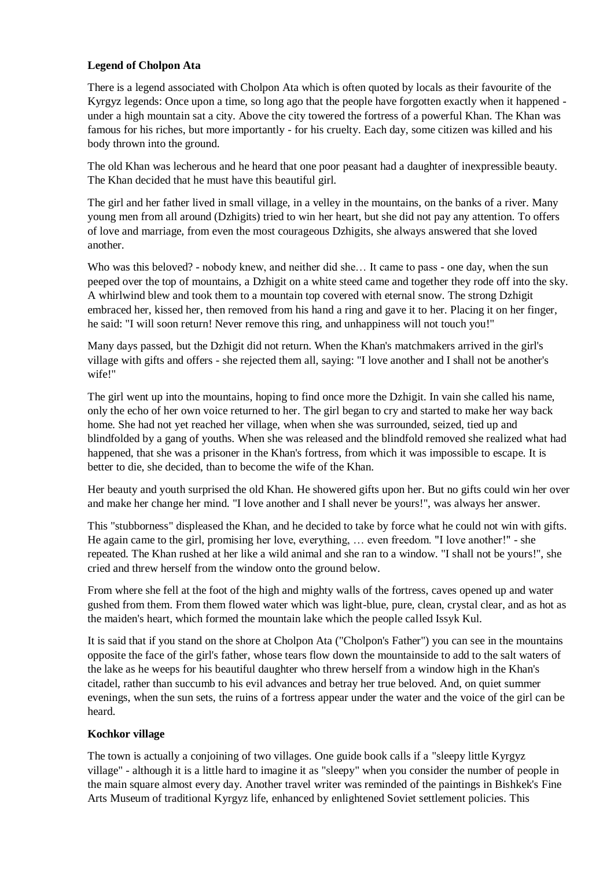## **Legend of Cholpon Ata**

There is a legend associated with Cholpon Ata which is often quoted by locals as their favourite of the Kyrgyz legends: Once upon a time, so long ago that the people have forgotten exactly when it happened under a high mountain sat a city. Above the city towered the fortress of a powerful Khan. The Khan was famous for his riches, but more importantly - for his cruelty. Each day, some citizen was killed and his body thrown into the ground.

The old Khan was lecherous and he heard that one poor peasant had a daughter of inexpressible beauty. The Khan decided that he must have this beautiful girl.

The girl and her father lived in small village, in a velley in the mountains, on the banks of a river. Many young men from all around (Dzhigits) tried to win her heart, but she did not pay any attention. To offers of love and marriage, from even the most courageous Dzhigits, she always answered that she loved another.

Who was this beloved? - nobody knew, and neither did she… It came to pass - one day, when the sun peeped over the top of mountains, a Dzhigit on a white steed came and together they rode off into the sky. A whirlwind blew and took them to a mountain top covered with eternal snow. The strong Dzhigit embraced her, kissed her, then removed from his hand a ring and gave it to her. Placing it on her finger, he said: "I will soon return! Never remove this ring, and unhappiness will not touch you!"

Many days passed, but the Dzhigit did not return. When the Khan's matchmakers arrived in the girl's village with gifts and offers - she rejected them all, saying: "I love another and I shall not be another's wife!"

The girl went up into the mountains, hoping to find once more the Dzhigit. In vain she called his name, only the echo of her own voice returned to her. The girl began to cry and started to make her way back home. She had not yet reached her village, when when she was surrounded, seized, tied up and blindfolded by a gang of youths. When she was released and the blindfold removed she realized what had happened, that she was a prisoner in the Khan's fortress, from which it was impossible to escape. It is better to die, she decided, than to become the wife of the Khan.

Her beauty and youth surprised the old Khan. He showered gifts upon her. But no gifts could win her over and make her change her mind. "I love another and I shall never be yours!", was always her answer.

This "stubborness" displeased the Khan, and he decided to take by force what he could not win with gifts. He again came to the girl, promising her love, everything, … even freedom. "I love another!" - she repeated. The Khan rushed at her like a wild animal and she ran to a window. "I shall not be yours!", she cried and threw herself from the window onto the ground below.

From where she fell at the foot of the high and mighty walls of the fortress, caves opened up and water gushed from them. From them flowed water which was light-blue, pure, clean, crystal clear, and as hot as the maiden's heart, which formed the mountain lake which the people called Issyk Kul.

It is said that if you stand on the shore at Cholpon Ata ("Cholpon's Father") you can see in the mountains opposite the face of the girl's father, whose tears flow down the mountainside to add to the salt waters of the lake as he weeps for his beautiful daughter who threw herself from a window high in the Khan's citadel, rather than succumb to his evil advances and betray her true beloved. And, on quiet summer evenings, when the sun sets, the ruins of a fortress appear under the water and the voice of the girl can be heard.

## **Kochkor village**

The town is actually a conjoining of two villages. One guide book calls if a "sleepy little Kyrgyz village" - although it is a little hard to imagine it as "sleepy" when you consider the number of people in the main square almost every day. Another travel writer was reminded of the paintings in Bishkek's Fine Arts Museum of traditional Kyrgyz life, enhanced by enlightened Soviet settlement policies. This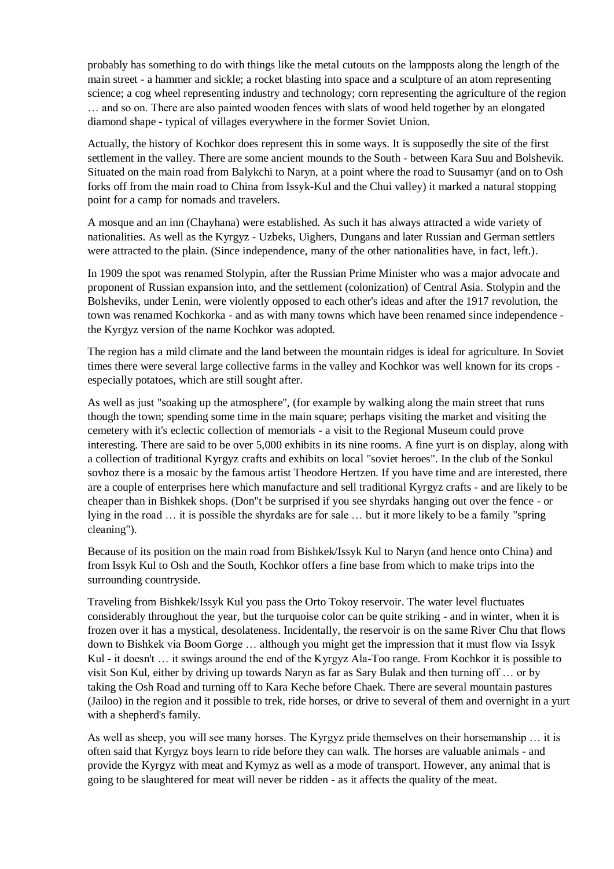probably has something to do with things like the metal cutouts on the lampposts along the length of the main street - a hammer and sickle; a rocket blasting into space and a sculpture of an atom representing science; a cog wheel representing industry and technology; corn representing the agriculture of the region … and so on. There are also painted wooden fences with slats of wood held together by an elongated diamond shape - typical of villages everywhere in the former Soviet Union.

Actually, the history of Kochkor does represent this in some ways. It is supposedly the site of the first settlement in the valley. There are some ancient mounds to the South - between Kara Suu and Bolshevik. Situated on the main road from Balykchi to Naryn, at a point where the road to Suusamyr (and on to Osh forks off from the main road to China from Issyk-Kul and the Chui valley) it marked a natural stopping point for a camp for nomads and travelers.

A mosque and an inn (Chayhana) were established. As such it has always attracted a wide variety of nationalities. As well as the Kyrgyz - Uzbeks, Uighers, Dungans and later Russian and German settlers were attracted to the plain. (Since independence, many of the other nationalities have, in fact, left.).

In 1909 the spot was renamed Stolypin, after the Russian Prime Minister who was a major advocate and proponent of Russian expansion into, and the settlement (colonization) of Central Asia. Stolypin and the Bolsheviks, under Lenin, were violently opposed to each other's ideas and after the 1917 revolution, the town was renamed Kochkorka - and as with many towns which have been renamed since independence the Kyrgyz version of the name Kochkor was adopted.

The region has a mild climate and the land between the mountain ridges is ideal for agriculture. In Soviet times there were several large collective farms in the valley and Kochkor was well known for its crops especially potatoes, which are still sought after.

As well as just "soaking up the atmosphere", (for example by walking along the main street that runs though the town; spending some time in the main square; perhaps visiting the market and visiting the cemetery with it's eclectic collection of memorials - a visit to the Regional Museum could prove interesting. There are said to be over 5,000 exhibits in its nine rooms. A fine yurt is on display, along with a collection of traditional Kyrgyz crafts and exhibits on local "soviet heroes". In the club of the Sonkul sovhoz there is a mosaic by the famous artist Theodore Hertzen. If you have time and are interested, there are a couple of enterprises here which manufacture and sell traditional Kyrgyz crafts - and are likely to be cheaper than in Bishkek shops. (Don"t be surprised if you see shyrdaks hanging out over the fence - or lying in the road … it is possible the shyrdaks are for sale … but it more likely to be a family "spring cleaning").

Because of its position on the main road from Bishkek/Issyk Kul to Naryn (and hence onto China) and from Issyk Kul to Osh and the South, Kochkor offers a fine base from which to make trips into the surrounding countryside.

Traveling from Bishkek/Issyk Kul you pass the Orto Tokoy reservoir. The water level fluctuates considerably throughout the year, but the turquoise color can be quite striking - and in winter, when it is frozen over it has a mystical, desolateness. Incidentally, the reservoir is on the same River Chu that flows down to Bishkek via Boom Gorge … although you might get the impression that it must flow via Issyk Kul - it doesn't … it swings around the end of the Kyrgyz Ala-Too range. From Kochkor it is possible to visit Son Kul, either by driving up towards Naryn as far as Sary Bulak and then turning off … or by taking the Osh Road and turning off to Kara Keche before Chaek. There are several mountain pastures (Jailoo) in the region and it possible to trek, ride horses, or drive to several of them and overnight in a yurt with a shepherd's family.

As well as sheep, you will see many horses. The Kyrgyz pride themselves on their horsemanship … it is often said that Kyrgyz boys learn to ride before they can walk. The horses are valuable animals - and provide the Kyrgyz with meat and Kymyz as well as a mode of transport. However, any animal that is going to be slaughtered for meat will never be ridden - as it affects the quality of the meat.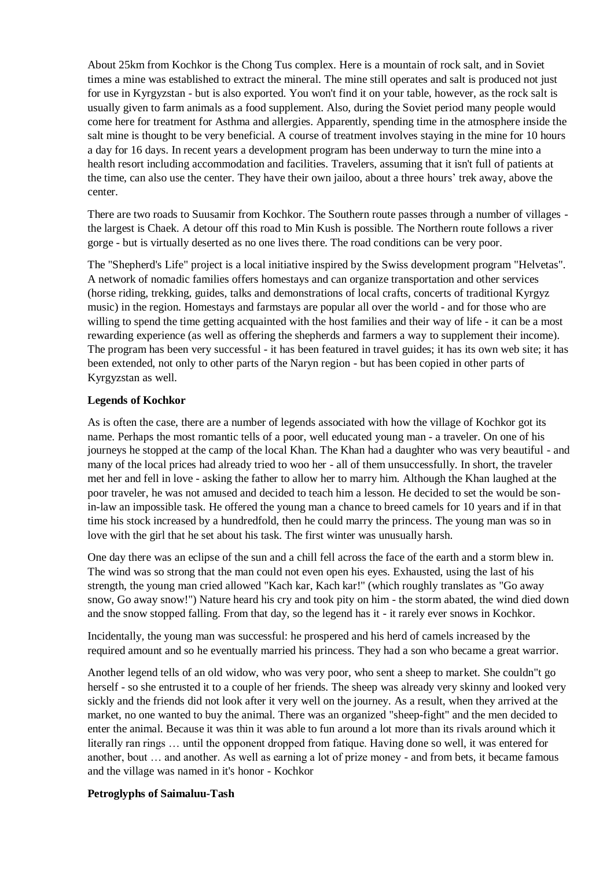About 25km from Kochkor is the Chong Tus complex. Here is a mountain of rock salt, and in Soviet times a mine was established to extract the mineral. The mine still operates and salt is produced not just for use in Kyrgyzstan - but is also exported. You won't find it on your table, however, as the rock salt is usually given to farm animals as a food supplement. Also, during the Soviet period many people would come here for treatment for Asthma and allergies. Apparently, spending time in the atmosphere inside the salt mine is thought to be very beneficial. A course of treatment involves staying in the mine for 10 hours a day for 16 days. In recent years a development program has been underway to turn the mine into a health resort including accommodation and facilities. Travelers, assuming that it isn't full of patients at the time, can also use the center. They have their own jailoo, about a three hours' trek away, above the center.

There are two roads to Suusamir from Kochkor. The Southern route passes through a number of villages the largest is Chaek. A detour off this road to Min Kush is possible. The Northern route follows a river gorge - but is virtually deserted as no one lives there. The road conditions can be very poor.

The "Shepherd's Life" project is a local initiative inspired by the Swiss development program "Helvetas". A network of nomadic families offers homestays and can organize transportation and other services (horse riding, trekking, guides, talks and demonstrations of local crafts, concerts of traditional Kyrgyz music) in the region. Homestays and farmstays are popular all over the world - and for those who are willing to spend the time getting acquainted with the host families and their way of life - it can be a most rewarding experience (as well as offering the shepherds and farmers a way to supplement their income). The program has been very successful - it has been featured in travel guides; it has its own web site; it has been extended, not only to other parts of the Naryn region - but has been copied in other parts of Kyrgyzstan as well.

### **Legends of Kochkor**

As is often the case, there are a number of legends associated with how the village of Kochkor got its name. Perhaps the most romantic tells of a poor, well educated young man - a traveler. On one of his journeys he stopped at the camp of the local Khan. The Khan had a daughter who was very beautiful - and many of the local prices had already tried to woo her - all of them unsuccessfully. In short, the traveler met her and fell in love - asking the father to allow her to marry him. Although the Khan laughed at the poor traveler, he was not amused and decided to teach him a lesson. He decided to set the would be sonin-law an impossible task. He offered the young man a chance to breed camels for 10 years and if in that time his stock increased by a hundredfold, then he could marry the princess. The young man was so in love with the girl that he set about his task. The first winter was unusually harsh.

One day there was an eclipse of the sun and a chill fell across the face of the earth and a storm blew in. The wind was so strong that the man could not even open his eyes. Exhausted, using the last of his strength, the young man cried allowed "Kach kar, Kach kar!" (which roughly translates as "Go away snow, Go away snow!") Nature heard his cry and took pity on him - the storm abated, the wind died down and the snow stopped falling. From that day, so the legend has it - it rarely ever snows in Kochkor.

Incidentally, the young man was successful: he prospered and his herd of camels increased by the required amount and so he eventually married his princess. They had a son who became a great warrior.

Another legend tells of an old widow, who was very poor, who sent a sheep to market. She couldn"t go herself - so she entrusted it to a couple of her friends. The sheep was already very skinny and looked very sickly and the friends did not look after it very well on the journey. As a result, when they arrived at the market, no one wanted to buy the animal. There was an organized "sheep-fight" and the men decided to enter the animal. Because it was thin it was able to fun around a lot more than its rivals around which it literally ran rings … until the opponent dropped from fatique. Having done so well, it was entered for another, bout … and another. As well as earning a lot of prize money - and from bets, it became famous and the village was named in it's honor - Kochkor

#### **Petroglyphs of Saimaluu-Tash**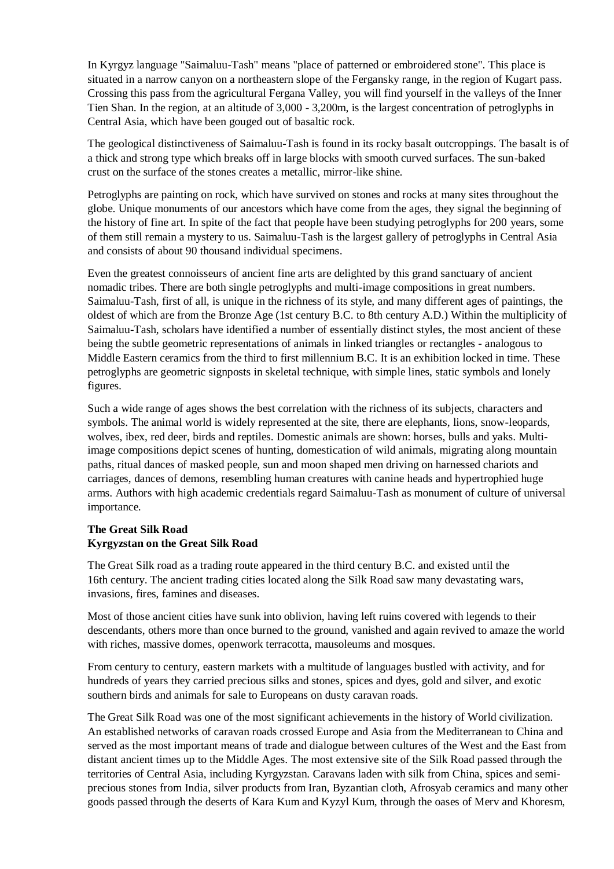In Kyrgyz language "Saimaluu-Tash" means "place of patterned or embroidered stone". This place is situated in a narrow canyon on a northeastern slope of the Fergansky range, in the region of Kugart pass. Crossing this pass from the agricultural Fergana Valley, you will find yourself in the valleys of the Inner Tien Shan. In the region, at an altitude of 3,000 - 3,200m, is the largest concentration of petroglyphs in Central Asia, which have been gouged out of basaltic rock.

The geological distinctiveness of Saimaluu-Tash is found in its rocky basalt outcroppings. The basalt is of a thick and strong type which breaks off in large blocks with smooth curved surfaces. The sun-baked crust on the surface of the stones creates a metallic, mirror-like shine.

Petroglyphs are painting on rock, which have survived on stones and rocks at many sites throughout the globe. Unique monuments of our ancestors which have come from the ages, they signal the beginning of the history of fine art. In spite of the fact that people have been studying petroglyphs for 200 years, some of them still remain a mystery to us. Saimaluu-Tash is the largest gallery of petroglyphs in Central Asia and consists of about 90 thousand individual specimens.

Even the greatest connoisseurs of ancient fine arts are delighted by this grand sanctuary of ancient nomadic tribes. There are both single petroglyphs and multi-image compositions in great numbers. Saimaluu-Tash, first of all, is unique in the richness of its style, and many different ages of paintings, the oldest of which are from the Bronze Age (1st century B.C. to 8th century A.D.) Within the multiplicity of Saimaluu-Tash, scholars have identified a number of essentially distinct styles, the most ancient of these being the subtle geometric representations of animals in linked triangles or rectangles - analogous to Middle Eastern ceramics from the third to first millennium B.C. It is an exhibition locked in time. These petroglyphs are geometric signposts in skeletal technique, with simple lines, static symbols and lonely figures.

Such a wide range of ages shows the best correlation with the richness of its subjects, characters and symbols. The animal world is widely represented at the site, there are elephants, lions, snow-leopards, wolves, ibex, red deer, birds and reptiles. Domestic animals are shown: horses, bulls and yaks. Multiimage compositions depict scenes of hunting, domestication of wild animals, migrating along mountain paths, ritual dances of masked people, sun and moon shaped men driving on harnessed chariots and carriages, dances of demons, resembling human creatures with canine heads and hypertrophied huge arms. Authors with high academic credentials regard Saimaluu-Tash as monument of culture of universal importance.

### **The Great Silk Road Kyrgyzstan on the Great Silk Road**

The Great Silk road as a trading route appeared in the third century B.C. and existed until the 16th century. The ancient trading cities located along the Silk Road saw many devastating wars, invasions, fires, famines and diseases.

Most of those ancient cities have sunk into oblivion, having left ruins covered with legends to their descendants, others more than once burned to the ground, vanished and again revived to amaze the world with riches, massive domes, openwork terracotta, mausoleums and mosques.

From century to century, eastern markets with a multitude of languages bustled with activity, and for hundreds of years they carried precious silks and stones, spices and dyes, gold and silver, and exotic southern birds and animals for sale to Europeans on dusty caravan roads.

The Great Silk Road was one of the most significant achievements in the history of World civilization. An established networks of caravan roads crossed Europe and Asia from the Mediterranean to China and served as the most important means of trade and dialogue between cultures of the West and the East from distant ancient times up to the Middle Ages. The most extensive site of the Silk Road passed through the territories of Central Asia, including Kyrgyzstan. Caravans laden with silk from China, spices and semiprecious stones from India, silver products from Iran, Byzantian cloth, Afrosyab ceramics and many other goods passed through the deserts of Kara Kum and Kyzyl Kum, through the oases of Merv and Khoresm,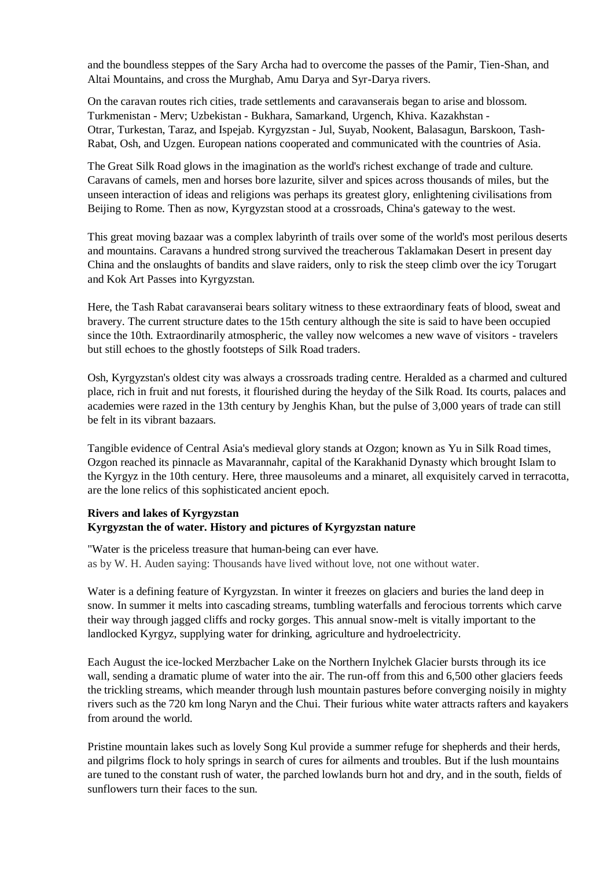and the boundless steppes of the Sary Archa had to overcome the passes of the Pamir, Tien-Shan, and Altai Mountains, and cross the Murghab, Amu Darya and Syr-Darya rivers.

On the caravan routes rich cities, trade settlements and caravanserais began to arise and blossom. Turkmenistan - Merv; Uzbekistan - Bukhara, Samarkand, Urgench, Khiva. Kazakhstan - Otrar, Turkestan, Taraz, and Ispejab. Kyrgyzstan - Jul, Suyab, Nookent, Balasagun, Barskoon, Tash-Rabat, Osh, and Uzgen. European nations cooperated and communicated with the countries of Asia.

The Great Silk Road glows in the imagination as the world's richest exchange of trade and culture. Caravans of camels, men and horses bore lazurite, silver and spices across thousands of miles, but the unseen interaction of ideas and religions was perhaps its greatest glory, enlightening civilisations from Beijing to Rome. Then as now, Kyrgyzstan stood at a crossroads, China's gateway to the west.

This great moving bazaar was a complex labyrinth of trails over some of the world's most perilous deserts and mountains. Caravans a hundred strong survived the treacherous Taklamakan Desert in present day China and the onslaughts of bandits and slave raiders, only to risk the steep climb over the icy Torugart and Kok Art Passes into Kyrgyzstan.

Here, the Tash Rabat caravanserai bears solitary witness to these extraordinary feats of blood, sweat and bravery. The current structure dates to the 15th century although the site is said to have been occupied since the 10th. Extraordinarily atmospheric, the valley now welcomes a new wave of visitors - travelers but still echoes to the ghostly footsteps of Silk Road traders.

Osh, Kyrgyzstan's oldest city was always a crossroads trading centre. Heralded as a charmed and cultured place, rich in fruit and nut forests, it flourished during the heyday of the Silk Road. Its courts, palaces and academies were razed in the 13th century by Jenghis Khan, but the pulse of 3,000 years of trade can still be felt in its vibrant bazaars.

Tangible evidence of Central Asia's medieval glory stands at Ozgon; known as Yu in Silk Road times, Ozgon reached its pinnacle as Mavarannahr, capital of the Karakhanid Dynasty which brought Islam to the Kyrgyz in the 10th century. Here, three mausoleums and a minaret, all exquisitely carved in terracotta, are the lone relics of this sophisticated ancient epoch.

### **Rivers and lakes of Kyrgyzstan Kyrgyzstan the of water. History and pictures of Kyrgyzstan nature**

"Water is the priceless treasure that human-being can ever have. as by W. H. Auden saying: Thousands have lived without love, not one without water.

Water is a defining feature of Kyrgyzstan. In winter it freezes on glaciers and buries the land deep in snow. In summer it melts into cascading streams, tumbling waterfalls and ferocious torrents which carve their way through jagged cliffs and rocky gorges. This annual snow-melt is vitally important to the landlocked Kyrgyz, supplying water for drinking, agriculture and hydroelectricity.

Each August the ice-locked Merzbacher Lake on the Northern Inylchek Glacier bursts through its ice wall, sending a dramatic plume of water into the air. The run-off from this and 6,500 other glaciers feeds the trickling streams, which meander through lush mountain pastures before converging noisily in mighty rivers such as the 720 km long Naryn and the Chui. Their furious white water attracts rafters and kayakers from around the world.

Pristine mountain lakes such as lovely Song Kul provide a summer refuge for shepherds and their herds, and pilgrims flock to holy springs in search of cures for ailments and troubles. But if the lush mountains are tuned to the constant rush of water, the parched lowlands burn hot and dry, and in the south, fields of sunflowers turn their faces to the sun.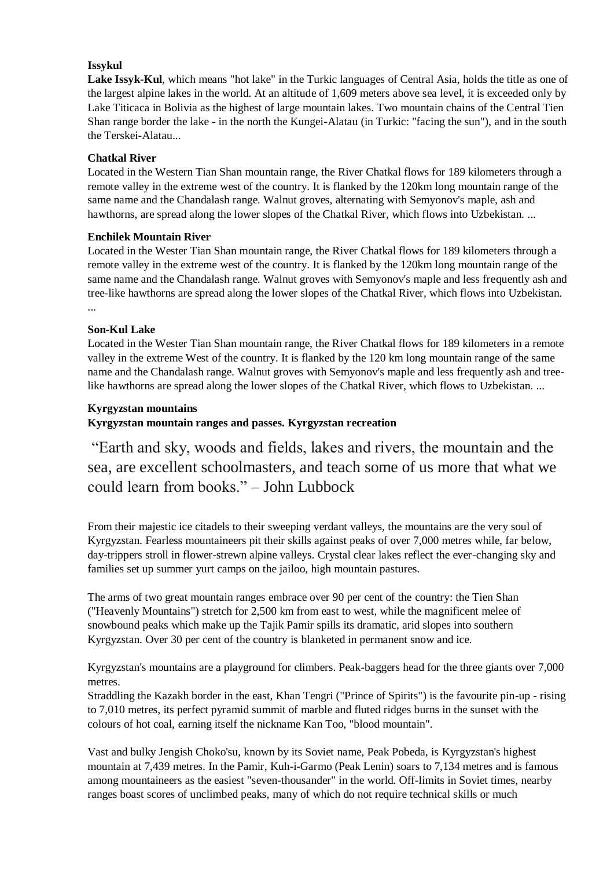## **Issykul**

**Lake Issyk-Kul**, which means "hot lake" in the Turkic languages of Central Asia, holds the title as one of the largest alpine lakes in the world. At an altitude of 1,609 meters above sea level, it is exceeded only by Lake Titicaca in Bolivia as the highest of large mountain lakes. Two mountain chains of the Central Tien Shan range border the lake - in the north the Kungei-Alatau (in Turkic: "facing the sun"), and in the south the Terskei-Alatau...

## **Chatkal River**

Located in the Western Tian Shan mountain range, the River Chatkal flows for 189 kilometers through a remote valley in the extreme west of the country. It is flanked by the 120km long mountain range of the same name and the Chandalash range. Walnut groves, alternating with Semyonov's maple, ash and hawthorns, are spread along the lower slopes of the Chatkal River, which flows into Uzbekistan. ...

## **Enchilek Mountain River**

Located in the Wester Tian Shan mountain range, the River Chatkal flows for 189 kilometers through a remote valley in the extreme west of the country. It is flanked by the 120km long mountain range of the same name and the Chandalash range. Walnut groves with Semyonov's maple and less frequently ash and tree-like hawthorns are spread along the lower slopes of the Chatkal River, which flows into Uzbekistan. ...

## **Son-Kul Lake**

Located in the Wester Tian Shan mountain range, the River Chatkal flows for 189 kilometers in a remote valley in the extreme West of the country. It is flanked by the 120 km long mountain range of the same name and the Chandalash range. Walnut groves with Semyonov's maple and less frequently ash and treelike hawthorns are spread along the lower slopes of the Chatkal River, which flows to Uzbekistan. ...

## **Kyrgyzstan mountains**

# **Kyrgyzstan mountain ranges and passes. Kyrgyzstan recreation**

"Earth and sky, woods and fields, lakes and rivers, the mountain and the sea, are excellent schoolmasters, and teach some of us more that what we could learn from books." – John Lubbock

From their majestic ice citadels to their sweeping verdant valleys, the mountains are the very soul of Kyrgyzstan. Fearless mountaineers pit their skills against peaks of over 7,000 metres while, far below, day-trippers stroll in flower-strewn alpine valleys. Crystal clear lakes reflect the ever-changing sky and families set up summer yurt camps on the jailoo, high mountain pastures.

The arms of two great mountain ranges embrace over 90 per cent of the country: the Tien Shan ("Heavenly Mountains") stretch for 2,500 km from east to west, while the magnificent melee of snowbound peaks which make up the Tajik Pamir spills its dramatic, arid slopes into southern Kyrgyzstan. Over 30 per cent of the country is blanketed in permanent snow and ice.

Kyrgyzstan's mountains are a playground for climbers. Peak-baggers head for the three giants over 7,000 metres.

Straddling the Kazakh border in the east, Khan Tengri ("Prince of Spirits") is the favourite pin-up - rising to 7,010 metres, its perfect pyramid summit of marble and fluted ridges burns in the sunset with the colours of hot coal, earning itself the nickname Kan Too, "blood mountain".

Vast and bulky Jengish Choko'su, known by its Soviet name, Peak Pobeda, is Kyrgyzstan's highest mountain at 7,439 metres. In the Pamir, Kuh-i-Garmo (Peak Lenin) soars to 7,134 metres and is famous among mountaineers as the easiest "seven-thousander" in the world. Off-limits in Soviet times, nearby ranges boast scores of unclimbed peaks, many of which do not require technical skills or much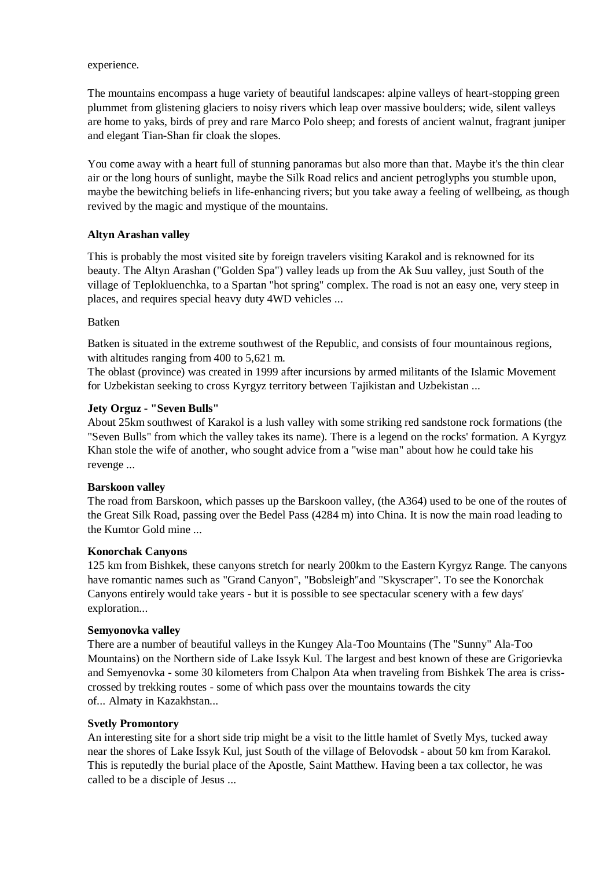#### experience.

The mountains encompass a huge variety of beautiful landscapes: alpine valleys of heart-stopping green plummet from glistening glaciers to noisy rivers which leap over massive boulders; wide, silent valleys are home to yaks, birds of prey and rare Marco Polo sheep; and forests of ancient walnut, fragrant juniper and elegant Tian-Shan fir cloak the slopes.

You come away with a heart full of stunning panoramas but also more than that. Maybe it's the thin clear air or the long hours of sunlight, maybe the Silk Road relics and ancient petroglyphs you stumble upon, maybe the bewitching beliefs in life-enhancing rivers; but you take away a feeling of wellbeing, as though revived by the magic and mystique of the mountains.

## **Altyn Arashan valley**

This is probably the most visited site by foreign travelers visiting Karakol and is reknowned for its beauty. The Altyn Arashan ("Golden Spa") valley leads up from the Ak Suu valley, just South of the village of Teplokluenchka, to a Spartan "hot spring" complex. The road is not an easy one, very steep in places, and requires special heavy duty 4WD vehicles ...

## Batken

Batken is situated in the extreme southwest of the Republic, and consists of four mountainous regions, with altitudes ranging from 400 to 5,621 m.

The oblast (province) was created in 1999 after incursions by armed militants of the Islamic Movement for Uzbekistan seeking to cross Kyrgyz territory between Tajikistan and Uzbekistan ...

## **Jety Orguz - "Seven Bulls"**

About 25km southwest of Karakol is a lush valley with some striking red sandstone rock formations (the "Seven Bulls" from which the valley takes its name). There is a legend on the rocks' formation. A Kyrgyz Khan stole the wife of another, who sought advice from a "wise man" about how he could take his revenge ...

#### **Barskoon valley**

The road from Barskoon, which passes up the Barskoon valley, (the A364) used to be one of the routes of the Great Silk Road, passing over the Bedel Pass (4284 m) into China. It is now the main road leading to the Kumtor Gold mine ...

#### **Konorchak Canyons**

125 km from Bishkek, these canyons stretch for nearly 200km to the Eastern Kyrgyz Range. The canyons have romantic names such as "Grand Canyon", "Bobsleigh"and "Skyscraper". To see the Konorchak Canyons entirely would take years - but it is possible to see spectacular scenery with a few days' exploration...

#### **Semyonovka valley**

There are a number of beautiful valleys in the Kungey Ala-Too Mountains (The "Sunny" Ala-Too Mountains) on the Northern side of Lake Issyk Kul. The largest and best known of these are Grigorievka and Semyenovka - some 30 kilometers from Chalpon Ata when traveling from Bishkek The area is crisscrossed by trekking routes - some of which pass over the mountains towards the city of... Almaty in Kazakhstan...

#### **Svetly Promontory**

An interesting site for a short side trip might be a visit to the little hamlet of Svetly Mys, tucked away near the shores of Lake Issyk Kul, just South of the village of Belovodsk - about 50 km from Karakol. This is reputedly the burial place of the Apostle, Saint Matthew. Having been a tax collector, he was called to be a disciple of Jesus ...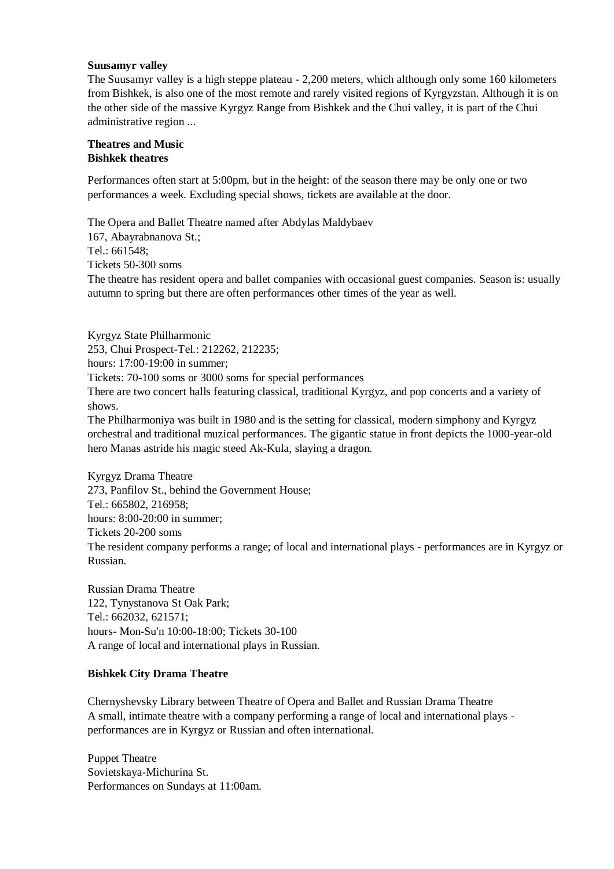#### **Suusamyr valley**

The Suusamyr valley is a high steppe plateau - 2,200 meters, which although only some 160 kilometers from Bishkek, is also one of the most remote and rarely visited regions of Kyrgyzstan. Although it is on the other side of the massive Kyrgyz Range from Bishkek and the Chui valley, it is part of the Chui administrative region ...

#### **Theatres and Music Bishkek theatres**

Performances often start at 5:00pm, but in the height: of the season there may be only one or two performances a week. Excluding special shows, tickets are available at the door.

The Opera and Ballet Theatre named after Abdylas Maldybaev 167, Abayrabnanova St.; Tel.: 661548; Tickets 50-300 soms The theatre has resident opera and ballet companies with occasional guest companies. Season is: usually autumn to spring but there are often performances other times of the year as well.

Kyrgyz State Philharmonic 253, Chui Prospect-Tel.: 212262, 212235; hours: 17:00-19:00 in summer; Tickets: 70-100 soms or 3000 soms for special performances There are two concert halls featuring classical, traditional Kyrgyz, and pop concerts and a variety of shows.

The Philharmoniya was built in 1980 and is the setting for classical, modern simphony and Kyrgyz orchestral and traditional muzical performances. The gigantic statue in front depicts the 1000-year-old hero Manas astride his magic steed Ak-Kula, slaying a dragon.

Kyrgyz Drama Theatre 273, Panfilov St., behind the Government House; Tel.: 665802, 216958; hours: 8:00-20:00 in summer; Tickets 20-200 soms The resident company performs a range; of local and international plays - performances are in Kyrgyz or Russian.

Russian Drama Theatre 122, Tynystanova St Oak Park; Tel.: 662032, 621571; hours- Mon-Su'n 10:00-18:00; Tickets 30-100 A range of local and international plays in Russian.

## **Bishkek City Drama Theatre**

Chernyshevsky Library between Theatre of Opera and Ballet and Russian Drama Theatre A small, intimate theatre with a company performing a range of local and international plays performances are in Kyrgyz or Russian and often international.

Puppet Theatre Sovietskaya-Michurina St. Performances on Sundays at 11:00am.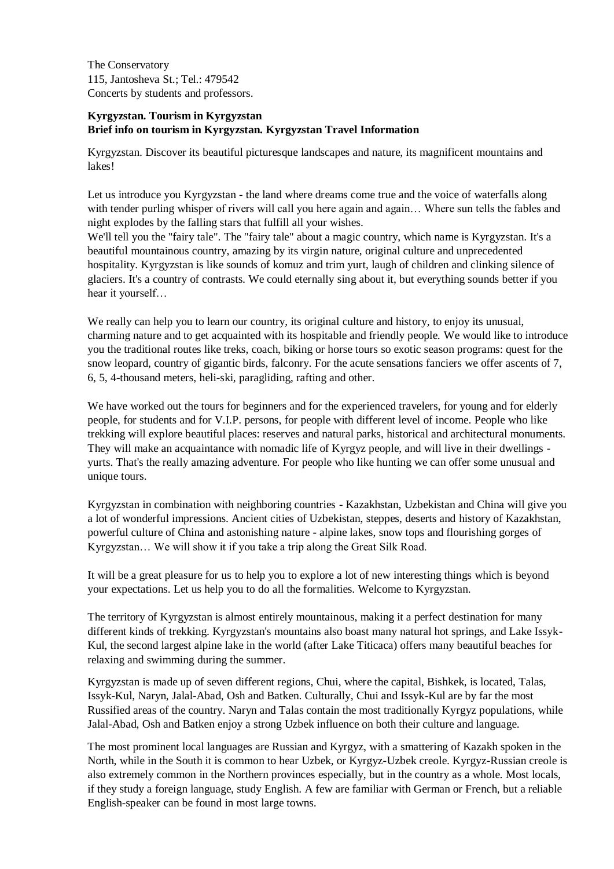The Conservatory 115, Jantosheva St.; Tel.: 479542 Concerts by students and professors.

## **Kyrgyzstan. Tourism in Kyrgyzstan Brief info on tourism in Kyrgyzstan. Kyrgyzstan Travel Information**

Kyrgyzstan. Discover its beautiful picturesque landscapes and nature, its magnificent mountains and lakes!

Let us introduce you Kyrgyzstan - the land where dreams come true and the voice of waterfalls along with tender purling whisper of rivers will call you here again and again... Where sun tells the fables and night explodes by the falling stars that fulfill all your wishes.

We'll tell you the "fairy tale". The "fairy tale" about a magic country, which name is Kyrgyzstan. It's a beautiful mountainous country, amazing by its virgin nature, original culture and unprecedented hospitality. Kyrgyzstan is like sounds of komuz and trim yurt, laugh of children and clinking silence of glaciers. It's a country of contrasts. We could eternally sing about it, but everything sounds better if you hear it yourself…

We really can help you to learn our country, its original culture and history, to enjoy its unusual, charming nature and to get acquainted with its hospitable and friendly people. We would like to introduce you the traditional routes like treks, coach, biking or horse tours so exotic season programs: quest for the snow leopard, country of gigantic birds, falconry. For the acute sensations fanciers we offer ascents of 7, 6, 5, 4-thousand meters, heli-ski, paragliding, rafting and other.

We have worked out the tours for beginners and for the experienced travelers, for young and for elderly people, for students and for V.I.P. persons, for people with different level of income. People who like trekking will explore beautiful places: reserves and natural parks, historical and architectural monuments. They will make an acquaintance with nomadic life of Kyrgyz people, and will live in their dwellings yurts. That's the really amazing adventure. For people who like hunting we can offer some unusual and unique tours.

Kyrgyzstan in combination with neighboring countries - Kazakhstan, Uzbekistan and China will give you a lot of wonderful impressions. Ancient cities of Uzbekistan, steppes, deserts and history of Kazakhstan, powerful culture of China and astonishing nature - alpine lakes, snow tops and flourishing gorges of Kyrgyzstan… We will show it if you take a trip along the Great Silk Road.

It will be a great pleasure for us to help you to explore a lot of new interesting things which is beyond your expectations. Let us help you to do all the formalities. Welcome to Kyrgyzstan.

The territory of Kyrgyzstan is almost entirely mountainous, making it a perfect destination for many different kinds of trekking. Kyrgyzstan's mountains also boast many natural hot springs, and Lake Issyk-Kul, the second largest alpine lake in the world (after Lake Titicaca) offers many beautiful beaches for relaxing and swimming during the summer.

Kyrgyzstan is made up of seven different regions, Chui, where the capital, Bishkek, is located, Talas, Issyk-Kul, Naryn, Jalal-Abad, Osh and Batken. Culturally, Chui and Issyk-Kul are by far the most Russified areas of the country. Naryn and Talas contain the most traditionally Kyrgyz populations, while Jalal-Abad, Osh and Batken enjoy a strong Uzbek influence on both their culture and language.

The most prominent local languages are Russian and Kyrgyz, with a smattering of Kazakh spoken in the North, while in the South it is common to hear Uzbek, or Kyrgyz-Uzbek creole. Kyrgyz-Russian creole is also extremely common in the Northern provinces especially, but in the country as a whole. Most locals, if they study a foreign language, study English. A few are familiar with German or French, but a reliable English-speaker can be found in most large towns.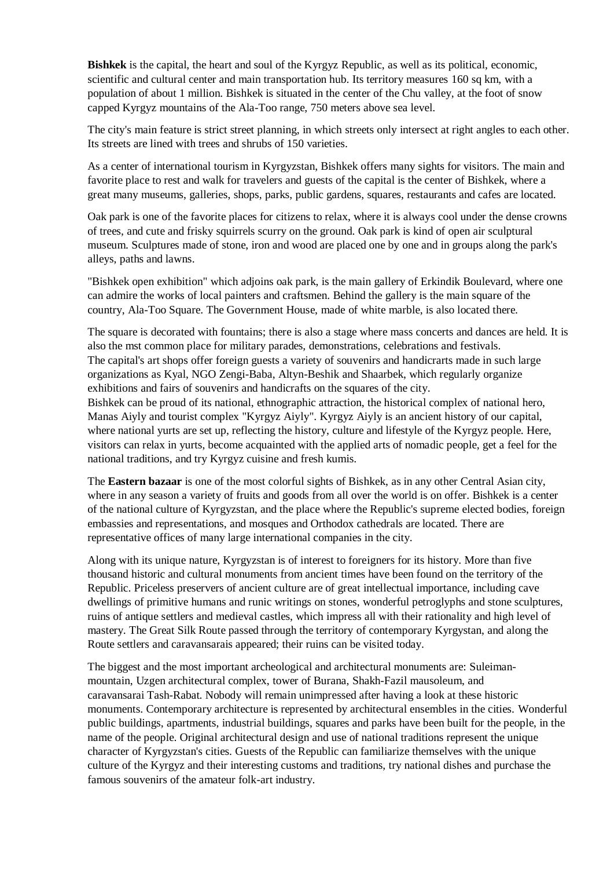**Bishkek** is the capital, the heart and soul of the Kyrgyz Republic, as well as its political, economic, scientific and cultural center and main transportation hub. Its territory measures 160 sq km, with a population of about 1 million. Bishkek is situated in the center of the Chu valley, at the foot of snow capped Kyrgyz mountains of the Ala-Too range, 750 meters above sea level.

The city's main feature is strict street planning, in which streets only intersect at right angles to each other. Its streets are lined with trees and shrubs of 150 varieties.

As a center of international tourism in Kyrgyzstan, Bishkek offers many sights for visitors. The main and favorite place to rest and walk for travelers and guests of the capital is the center of Bishkek, where a great many museums, galleries, shops, parks, public gardens, squares, restaurants and cafes are located.

Oak park is one of the favorite places for citizens to relax, where it is always cool under the dense crowns of trees, and cute and frisky squirrels scurry on the ground. Oak park is kind of open air sculptural museum. Sculptures made of stone, iron and wood are placed one by one and in groups along the park's alleys, paths and lawns.

"Bishkek open exhibition" which adjoins oak park, is the main gallery of Erkindik Boulevard, where one can admire the works of local painters and craftsmen. Behind the gallery is the main square of the country, Ala-Too Square. The Government House, made of white marble, is also located there.

The square is decorated with fountains; there is also a stage where mass concerts and dances are held. It is also the mst common place for military parades, demonstrations, celebrations and festivals. The capital's art shops offer foreign guests a variety of souvenirs and handicrarts made in such large organizations as Kyal, NGO Zengi-Baba, Altyn-Beshik and Shaarbek, which regularly organize exhibitions and fairs of souvenirs and handicrafts on the squares of the city.

Bishkek can be proud of its national, ethnographic attraction, the historical complex of national hero, Manas Aiyly and tourist complex "Kyrgyz Aiyly". Kyrgyz Aiyly is an ancient history of our capital, where national yurts are set up, reflecting the history, culture and lifestyle of the Kyrgyz people. Here, visitors can relax in yurts, become acquainted with the applied arts of nomadic people, get a feel for the national traditions, and try Kyrgyz cuisine and fresh kumis.

The **Eastern bazaar** is one of the most colorful sights of Bishkek, as in any other Central Asian city, where in any season a variety of fruits and goods from all over the world is on offer. Bishkek is a center of the national culture of Kyrgyzstan, and the place where the Republic's supreme elected bodies, foreign embassies and representations, and mosques and Orthodox cathedrals are located. There are representative offices of many large international companies in the city.

Along with its unique nature, Kyrgyzstan is of interest to foreigners for its history. More than five thousand historic and cultural monuments from ancient times have been found on the territory of the Republic. Priceless preservers of ancient culture are of great intellectual importance, including cave dwellings of primitive humans and runic writings on stones, wonderful petroglyphs and stone sculptures, ruins of antique settlers and medieval castles, which impress all with their rationality and high level of mastery. The Great Silk Route passed through the territory of contemporary Kyrgystan, and along the Route settlers and caravansarais appeared; their ruins can be visited today.

The biggest and the most important archeological and architectural monuments are: Suleimanmountain, Uzgen architectural complex, tower of Burana, Shakh-Fazil mausoleum, and caravansarai Tash-Rabat. Nobody will remain unimpressed after having a look at these historic monuments. Contemporary architecture is represented by architectural ensembles in the cities. Wonderful public buildings, apartments, industrial buildings, squares and parks have been built for the people, in the name of the people. Original architectural design and use of national traditions represent the unique character of Kyrgyzstan's cities. Guests of the Republic can familiarize themselves with the unique culture of the Kyrgyz and their interesting customs and traditions, try national dishes and purchase the famous souvenirs of the amateur folk-art industry.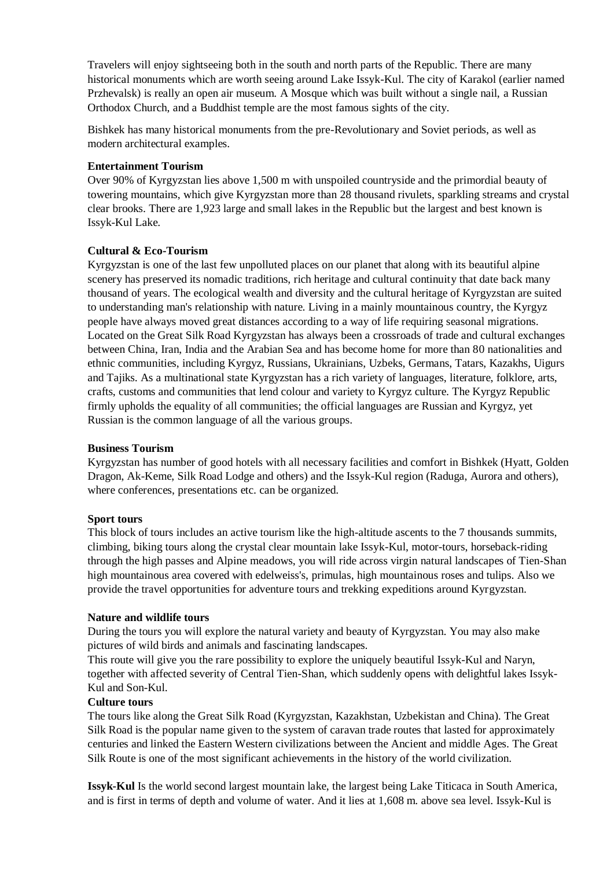Travelers will enjoy sightseeing both in the south and north parts of the Republic. There are many historical monuments which are worth seeing around Lake Issyk-Kul. The city of Karakol (earlier named Przhevalsk) is really an open air museum. A Mosque which was built without a single nail, a Russian Orthodox Church, and a Buddhist temple are the most famous sights of the city.

Bishkek has many historical monuments from the pre-Revolutionary and Soviet periods, as well as modern architectural examples.

#### **Entertainment Tourism**

Over 90% of Kyrgyzstan lies above 1,500 m with unspoiled countryside and the primordial beauty of towering mountains, which give Kyrgyzstan more than 28 thousand rivulets, sparkling streams and crystal clear brooks. There are 1,923 large and small lakes in the Republic but the largest and best known is Issyk-Kul Lake.

## **Cultural & Eco-Tourism**

Kyrgyzstan is one of the last few unpolluted places on our planet that along with its beautiful alpine scenery has preserved its nomadic traditions, rich heritage and cultural continuity that date back many thousand of years. The ecological wealth and diversity and the cultural heritage of Kyrgyzstan are suited to understanding man's relationship with nature. Living in a mainly mountainous country, the Kyrgyz people have always moved great distances according to a way of life requiring seasonal migrations. Located on the Great Silk Road Kyrgyzstan has always been a crossroads of trade and cultural exchanges between China, Iran, India and the Arabian Sea and has become home for more than 80 nationalities and ethnic communities, including Kyrgyz, Russians, Ukrainians, Uzbeks, Germans, Tatars, Kazakhs, Uigurs and Tajiks. As a multinational state Kyrgyzstan has a rich variety of languages, literature, folklore, arts, crafts, customs and communities that lend colour and variety to Kyrgyz culture. The Kyrgyz Republic firmly upholds the equality of all communities; the official languages are Russian and Kyrgyz, yet Russian is the common language of all the various groups.

#### **Business Tourism**

Kyrgyzstan has number of good hotels with all necessary facilities and comfort in Bishkek (Hyatt, Golden Dragon, Ak-Keme, Silk Road Lodge and others) and the Issyk-Kul region (Raduga, Aurora and others), where conferences, presentations etc. can be organized.

#### **Sport tours**

This block of tours includes an active tourism like the high-altitude ascents to the 7 thousands summits, climbing, biking tours along the crystal clear mountain lake Issyk-Kul, motor-tours, horseback-riding through the high passes and Alpine meadows, you will ride across virgin natural landscapes of Tien-Shan high mountainous area covered with edelweiss's, primulas, high mountainous roses and tulips. Also we provide the travel opportunities for adventure tours and trekking expeditions around Kyrgyzstan.

#### **Nature and wildlife tours**

During the tours you will explore the natural variety and beauty of Kyrgyzstan. You may also make pictures of wild birds and animals and fascinating landscapes.

This route will give you the rare possibility to explore the uniquely beautiful Issyk-Kul and Naryn, together with affected severity of Central Tien-Shan, which suddenly opens with delightful lakes Issyk-Kul and Son-Kul.

#### **Culture tours**

The tours like along the Great Silk Road (Kyrgyzstan, Kazakhstan, Uzbekistan and China). The Great Silk Road is the popular name given to the system of caravan trade routes that lasted for approximately centuries and linked the Eastern Western civilizations between the Ancient and middle Ages. The Great Silk Route is one of the most significant achievements in the history of the world civilization.

**Issyk-Kul** Is the world second largest mountain lake, the largest being Lake Titicaca in South America, and is first in terms of depth and volume of water. And it lies at 1,608 m. above sea level. Issyk-Kul is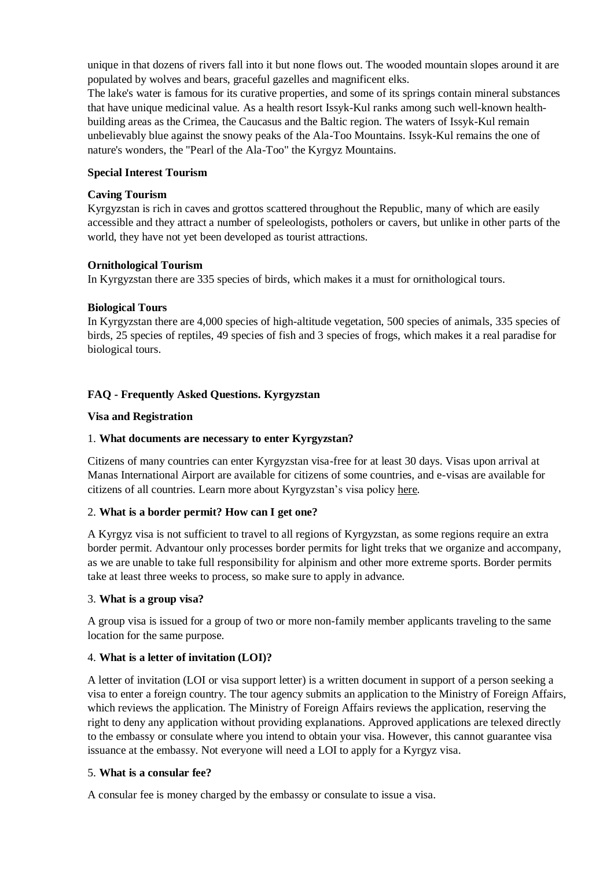unique in that dozens of rivers fall into it but none flows out. The wooded mountain slopes around it are populated by wolves and bears, graceful gazelles and magnificent elks.

The lake's water is famous for its curative properties, and some of its springs contain mineral substances that have unique medicinal value. As a health resort Issyk-Kul ranks among such well-known healthbuilding areas as the Crimea, the Caucasus and the Baltic region. The waters of Issyk-Kul remain unbelievably blue against the snowy peaks of the Ala-Too Mountains. Issyk-Kul remains the one of nature's wonders, the "Pearl of the Ala-Too" the Kyrgyz Mountains.

### **Special Interest Tourism**

### **Caving Tourism**

Kyrgyzstan is rich in caves and grottos scattered throughout the Republic, many of which are easily accessible and they attract a number of speleologists, potholers or cavers, but unlike in other parts of the world, they have not yet been developed as tourist attractions.

### **Ornithological Tourism**

In Kyrgyzstan there are 335 species of birds, which makes it a must for ornithological tours.

### **Biological Tours**

In Kyrgyzstan there are 4,000 species of high-altitude vegetation, 500 species of animals, 335 species of birds, 25 species of reptiles, 49 species of fish and 3 species of frogs, which makes it a real paradise for biological tours.

# **FAQ - Frequently Asked Questions. Kyrgyzstan**

### **Visa and Registration**

### 1. **What documents are necessary to enter Kyrgyzstan?**

Citizens of many countries can enter Kyrgyzstan visa-free for at least 30 days. Visas upon arrival at Manas International Airport are available for citizens of some countries, and e-visas are available for citizens of all countries. Learn more about Kyrgyzstan's visa policy here.

## 2. **What is a border permit? How can I get one?**

A Kyrgyz visa is not sufficient to travel to all regions of Kyrgyzstan, as some regions require an extra border permit. Advantour only processes border permits for light treks that we organize and accompany, as we are unable to take full responsibility for alpinism and other more extreme sports. Border permits take at least three weeks to process, so make sure to apply in advance.

#### 3. **What is a group visa?**

A group visa is issued for a group of two or more non-family member applicants traveling to the same location for the same purpose.

## 4. **What is a letter of invitation (LOI)?**

A letter of invitation (LOI or visa support letter) is a written document in support of a person seeking a visa to enter a foreign country. The tour agency submits an application to the Ministry of Foreign Affairs, which reviews the application. The Ministry of Foreign Affairs reviews the application, reserving the right to deny any application without providing explanations. Approved applications are telexed directly to the embassy or consulate where you intend to obtain your visa. However, this cannot guarantee visa issuance at the embassy. Not everyone will need a LOI to apply for a Kyrgyz visa.

#### 5. **What is a consular fee?**

A consular fee is money charged by the embassy or consulate to issue a visa.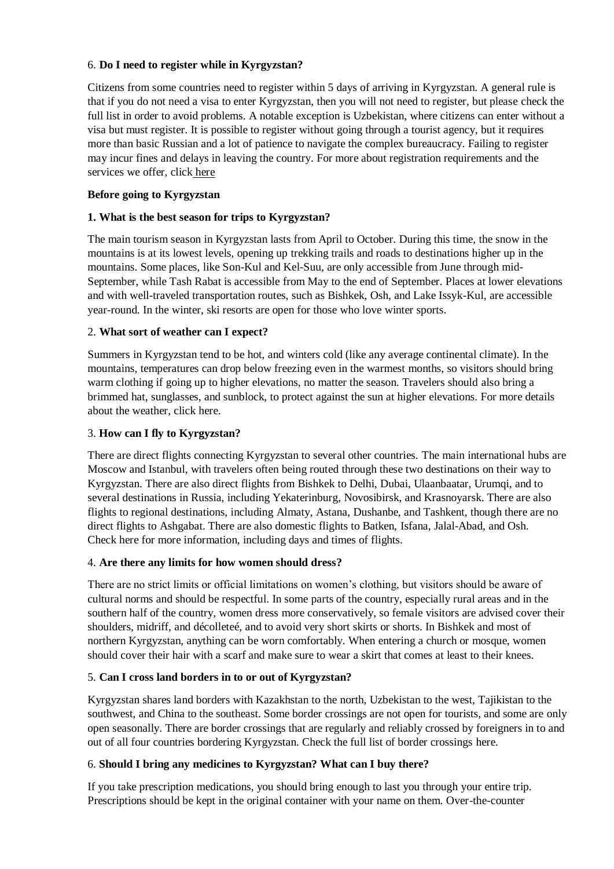## 6. **Do I need to register while in Kyrgyzstan?**

Citizens from some countries need to register within 5 days of arriving in Kyrgyzstan. A general rule is that if you do not need a visa to enter Kyrgyzstan, then you will not need to register, but please check the full list in order to avoid problems. A notable exception is Uzbekistan, where citizens can enter without a visa but must register. It is possible to register without going through a tourist agency, but it requires more than basic Russian and a lot of patience to navigate the complex bureaucracy. Failing to register may incur fines and delays in leaving the country. For more about registration requirements and the services we offer, click here

# **Before going to Kyrgyzstan**

# **1. What is the best season for trips to Kyrgyzstan?**

The main tourism season in Kyrgyzstan lasts from April to October. During this time, the snow in the mountains is at its lowest levels, opening up trekking trails and roads to destinations higher up in the mountains. Some places, like Son-Kul and Kel-Suu, are only accessible from June through mid-September, while Tash Rabat is accessible from May to the end of September. Places at lower elevations and with well-traveled transportation routes, such as Bishkek, Osh, and Lake Issyk-Kul, are accessible year-round. In the winter, ski resorts are open for those who love winter sports.

# 2. **What sort of weather can I expect?**

Summers in Kyrgyzstan tend to be hot, and winters cold (like any average continental climate). In the mountains, temperatures can drop below freezing even in the warmest months, so visitors should bring warm clothing if going up to higher elevations, no matter the season. Travelers should also bring a brimmed hat, sunglasses, and sunblock, to protect against the sun at higher elevations. For more details about the weather, click here.

# 3. **How can I fly to Kyrgyzstan?**

There are direct flights connecting Kyrgyzstan to several other countries. The main international hubs are Moscow and Istanbul, with travelers often being routed through these two destinations on their way to Kyrgyzstan. There are also direct flights from Bishkek to Delhi, Dubai, Ulaanbaatar, Urumqi, and to several destinations in Russia, including Yekaterinburg, Novosibirsk, and Krasnoyarsk. There are also flights to regional destinations, including Almaty, Astana, Dushanbe, and Tashkent, though there are no direct flights to Ashgabat. There are also domestic flights to Batken, Isfana, Jalal-Abad, and Osh. Check here for more information, including days and times of flights.

## 4. **Are there any limits for how women should dress?**

There are no strict limits or official limitations on women's clothing, but visitors should be aware of cultural norms and should be respectful. In some parts of the country, especially rural areas and in the southern half of the country, women dress more conservatively, so female visitors are advised cover their shoulders, midriff, and décolleteé, and to avoid very short skirts or shorts. In Bishkek and most of northern Kyrgyzstan, anything can be worn comfortably. When entering a church or mosque, women should cover their hair with a scarf and make sure to wear a skirt that comes at least to their knees.

## 5. **Can I cross land borders in to or out of Kyrgyzstan?**

Kyrgyzstan shares land borders with Kazakhstan to the north, Uzbekistan to the west, Tajikistan to the southwest, and China to the southeast. Some border crossings are not open for tourists, and some are only open seasonally. There are border crossings that are regularly and reliably crossed by foreigners in to and out of all four countries bordering Kyrgyzstan. Check the full list of border crossings here.

## 6. **Should I bring any medicines to Kyrgyzstan? What can I buy there?**

If you take prescription medications, you should bring enough to last you through your entire trip. Prescriptions should be kept in the original container with your name on them. Over-the-counter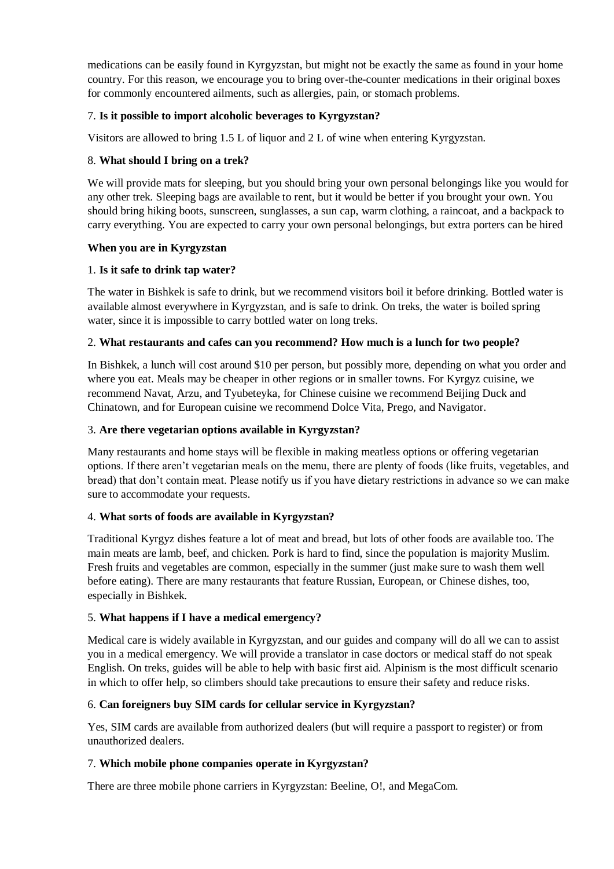medications can be easily found in Kyrgyzstan, but might not be exactly the same as found in your home country. For this reason, we encourage you to bring over-the-counter medications in their original boxes for commonly encountered ailments, such as allergies, pain, or stomach problems.

## 7. **Is it possible to import alcoholic beverages to Kyrgyzstan?**

Visitors are allowed to bring 1.5 L of liquor and 2 L of wine when entering Kyrgyzstan.

### 8. **What should I bring on a trek?**

We will provide mats for sleeping, but you should bring your own personal belongings like you would for any other trek. Sleeping bags are available to rent, but it would be better if you brought your own. You should bring hiking boots, sunscreen, sunglasses, a sun cap, warm clothing, a raincoat, and a backpack to carry everything. You are expected to carry your own personal belongings, but extra porters can be hired

### **When you are in Kyrgyzstan**

### 1. **Is it safe to drink tap water?**

The water in Bishkek is safe to drink, but we recommend visitors boil it before drinking. Bottled water is available almost everywhere in Kyrgyzstan, and is safe to drink. On treks, the water is boiled spring water, since it is impossible to carry bottled water on long treks.

### 2. **What restaurants and cafes can you recommend? How much is a lunch for two people?**

In Bishkek, a lunch will cost around \$10 per person, but possibly more, depending on what you order and where you eat. Meals may be cheaper in other regions or in smaller towns. For Kyrgyz cuisine, we recommend Navat, Arzu, and Tyubeteyka, for Chinese cuisine we recommend Beijing Duck and Chinatown, and for European cuisine we recommend Dolce Vita, Prego, and Navigator.

### 3. **Are there vegetarian options available in Kyrgyzstan?**

Many restaurants and home stays will be flexible in making meatless options or offering vegetarian options. If there aren't vegetarian meals on the menu, there are plenty of foods (like fruits, vegetables, and bread) that don't contain meat. Please notify us if you have dietary restrictions in advance so we can make sure to accommodate your requests.

## 4. **What sorts of foods are available in Kyrgyzstan?**

Traditional Kyrgyz dishes feature a lot of meat and bread, but lots of other foods are available too. The main meats are lamb, beef, and chicken. Pork is hard to find, since the population is majority Muslim. Fresh fruits and vegetables are common, especially in the summer (just make sure to wash them well before eating). There are many restaurants that feature Russian, European, or Chinese dishes, too, especially in Bishkek.

## 5. **What happens if I have a medical emergency?**

Medical care is widely available in Kyrgyzstan, and our guides and company will do all we can to assist you in a medical emergency. We will provide a translator in case doctors or medical staff do not speak English. On treks, guides will be able to help with basic first aid. Alpinism is the most difficult scenario in which to offer help, so climbers should take precautions to ensure their safety and reduce risks.

## 6. **Can foreigners buy SIM cards for cellular service in Kyrgyzstan?**

Yes, SIM cards are available from authorized dealers (but will require a passport to register) or from unauthorized dealers.

## 7. **Which mobile phone companies operate in Kyrgyzstan?**

There are three mobile phone carriers in Kyrgyzstan: Beeline, O!, and MegaCom.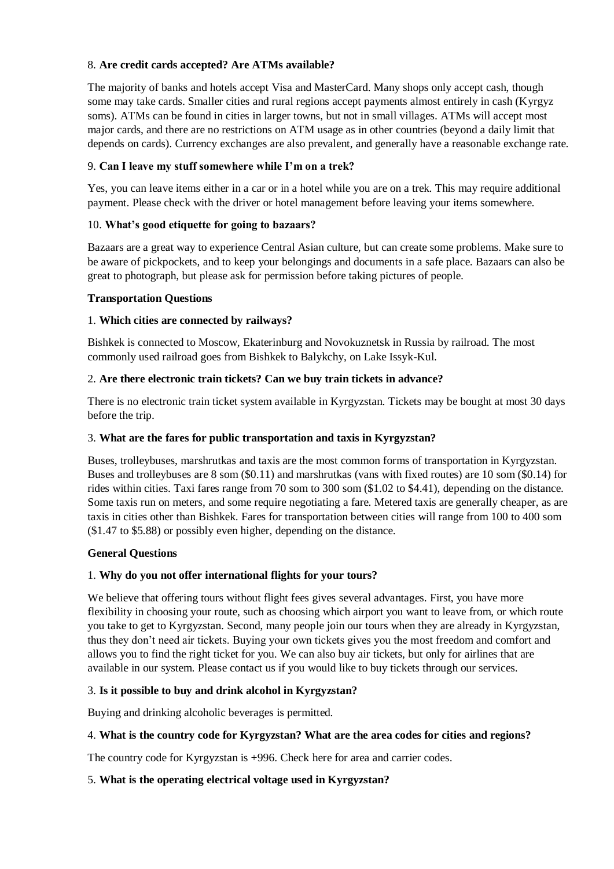## 8. **Are credit cards accepted? Are ATMs available?**

The majority of banks and hotels accept Visa and MasterCard. Many shops only accept cash, though some may take cards. Smaller cities and rural regions accept payments almost entirely in cash (Kyrgyz soms). ATMs can be found in cities in larger towns, but not in small villages. ATMs will accept most major cards, and there are no restrictions on ATM usage as in other countries (beyond a daily limit that depends on cards). Currency exchanges are also prevalent, and generally have a reasonable exchange rate.

## 9. **Can I leave my stuff somewhere while I'm on a trek?**

Yes, you can leave items either in a car or in a hotel while you are on a trek. This may require additional payment. Please check with the driver or hotel management before leaving your items somewhere.

## 10. **What's good etiquette for going to bazaars?**

Bazaars are a great way to experience Central Asian culture, but can create some problems. Make sure to be aware of pickpockets, and to keep your belongings and documents in a safe place. Bazaars can also be great to photograph, but please ask for permission before taking pictures of people.

### **Transportation Questions**

## 1. **Which cities are connected by railways?**

Bishkek is connected to Moscow, Ekaterinburg and Novokuznetsk in Russia by railroad. The most commonly used railroad goes from Bishkek to Balykchy, on Lake Issyk-Kul.

## 2. **Are there electronic train tickets? Can we buy train tickets in advance?**

There is no electronic train ticket system available in Kyrgyzstan. Tickets may be bought at most 30 days before the trip.

### 3. **What are the fares for public transportation and taxis in Kyrgyzstan?**

Buses, trolleybuses, marshrutkas and taxis are the most common forms of transportation in Kyrgyzstan. Buses and trolleybuses are 8 som (\$0.11) and marshrutkas (vans with fixed routes) are 10 som (\$0.14) for rides within cities. Taxi fares range from 70 som to 300 som (\$1.02 to \$4.41), depending on the distance. Some taxis run on meters, and some require negotiating a fare. Metered taxis are generally cheaper, as are taxis in cities other than Bishkek. Fares for transportation between cities will range from 100 to 400 som (\$1.47 to \$5.88) or possibly even higher, depending on the distance.

#### **General Questions**

## 1. **Why do you not offer international flights for your tours?**

We believe that offering tours without flight fees gives several advantages. First, you have more flexibility in choosing your route, such as choosing which airport you want to leave from, or which route you take to get to Kyrgyzstan. Second, many people join our tours when they are already in Kyrgyzstan, thus they don't need air tickets. Buying your own tickets gives you the most freedom and comfort and allows you to find the right ticket for you. We can also buy air tickets, but only for airlines that are available in our system. Please contact us if you would like to buy tickets through our services.

## 3. **Is it possible to buy and drink alcohol in Kyrgyzstan?**

Buying and drinking alcoholic beverages is permitted.

#### 4. **What is the country code for Kyrgyzstan? What are the area codes for cities and regions?**

The country code for Kyrgyzstan is +996. Check here for area and carrier codes.

## 5. **What is the operating electrical voltage used in Kyrgyzstan?**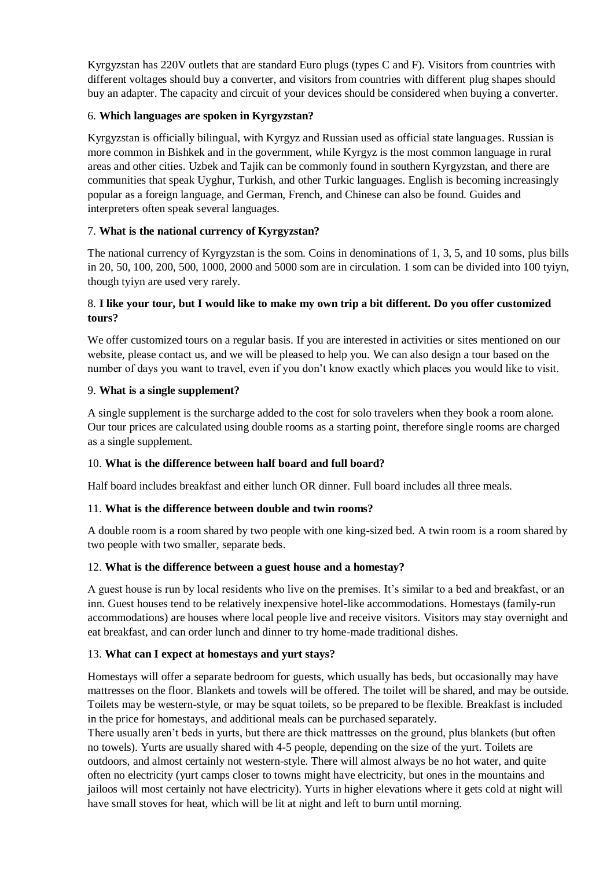Kyrgyzstan has 220V outlets that are standard Euro plugs (types C and F). Visitors from countries with different voltages should buy a converter, and visitors from countries with different plug shapes should buy an adapter. The capacity and circuit of your devices should be considered when buying a converter.

# 6. **Which languages are spoken in Kyrgyzstan?**

Kyrgyzstan is officially bilingual, with Kyrgyz and Russian used as official state languages. Russian is more common in Bishkek and in the government, while Kyrgyz is the most common language in rural areas and other cities. Uzbek and Tajik can be commonly found in southern Kyrgyzstan, and there are communities that speak Uyghur, Turkish, and other Turkic languages. English is becoming increasingly popular as a foreign language, and German, French, and Chinese can also be found. Guides and interpreters often speak several languages.

# 7. **What is the national currency of Kyrgyzstan?**

The national currency of Kyrgyzstan is the som. Coins in denominations of 1, 3, 5, and 10 soms, plus bills in 20, 50, 100, 200, 500, 1000, 2000 and 5000 som are in circulation. 1 som can be divided into 100 tyiyn, though tyiyn are used very rarely.

## 8. **I like your tour, but I would like to make my own trip a bit different. Do you offer customized tours?**

We offer customized tours on a regular basis. If you are interested in activities or sites mentioned on our website, please contact us, and we will be pleased to help you. We can also design a tour based on the number of days you want to travel, even if you don't know exactly which places you would like to visit.

## 9. **What is a single supplement?**

A single supplement is the surcharge added to the cost for solo travelers when they book a room alone. Our tour prices are calculated using double rooms as a starting point, therefore single rooms are charged as a single supplement.

## 10. **What is the difference between half board and full board?**

Half board includes breakfast and either lunch OR dinner. Full board includes all three meals.

## 11. **What is the difference between double and twin rooms?**

A double room is a room shared by two people with one king-sized bed. A twin room is a room shared by two people with two smaller, separate beds.

## 12. **What is the difference between a guest house and a homestay?**

A guest house is run by local residents who live on the premises. It's similar to a bed and breakfast, or an inn. Guest houses tend to be relatively inexpensive hotel-like accommodations. Homestays (family-run accommodations) are houses where local people live and receive visitors. Visitors may stay overnight and eat breakfast, and can order lunch and dinner to try home-made traditional dishes.

## 13. **What can I expect at homestays and yurt stays?**

Homestays will offer a separate bedroom for guests, which usually has beds, but occasionally may have mattresses on the floor. Blankets and towels will be offered. The toilet will be shared, and may be outside. Toilets may be western-style, or may be squat toilets, so be prepared to be flexible. Breakfast is included in the price for homestays, and additional meals can be purchased separately.

There usually aren't beds in yurts, but there are thick mattresses on the ground, plus blankets (but often no towels). Yurts are usually shared with 4-5 people, depending on the size of the yurt. Toilets are outdoors, and almost certainly not western-style. There will almost always be no hot water, and quite often no electricity (yurt camps closer to towns might have electricity, but ones in the mountains and jailoos will most certainly not have electricity). Yurts in higher elevations where it gets cold at night will have small stoves for heat, which will be lit at night and left to burn until morning.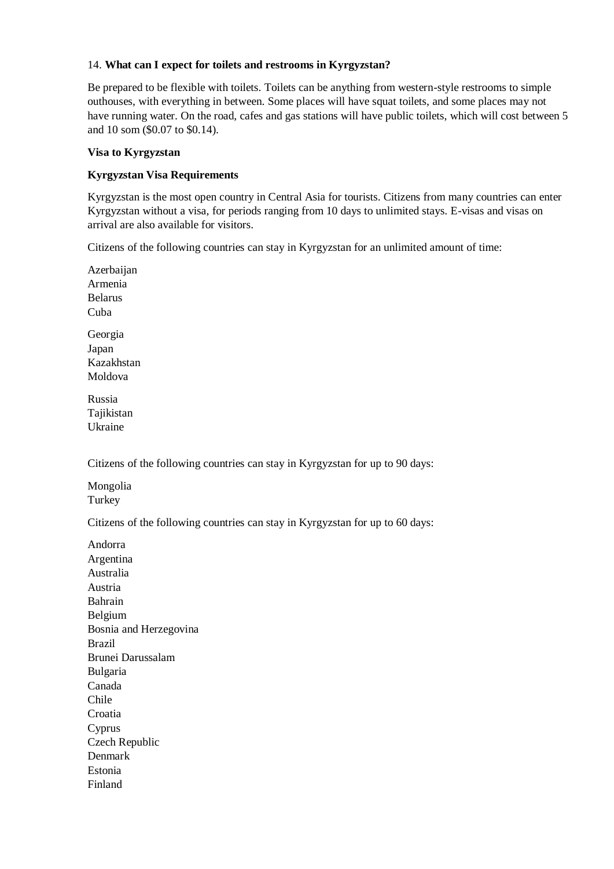### 14. **What can I expect for toilets and restrooms in Kyrgyzstan?**

Be prepared to be flexible with toilets. Toilets can be anything from western-style restrooms to simple outhouses, with everything in between. Some places will have squat toilets, and some places may not have running water. On the road, cafes and gas stations will have public toilets, which will cost between 5 and 10 som (\$0.07 to \$0.14).

#### **Visa to Kyrgyzstan**

### **Kyrgyzstan Visa Requirements**

Kyrgyzstan is the most open country in Central Asia for tourists. Citizens from many countries can enter Kyrgyzstan without a visa, for periods ranging from 10 days to unlimited stays. E-visas and visas on arrival are also available for visitors.

Citizens of the following countries can stay in Kyrgyzstan for an unlimited amount of time:

Azerbaijan Armenia Belarus Cuba Georgia Japan Kazakhstan Moldova

Russia Tajikistan Ukraine

Citizens of the following countries can stay in Kyrgyzstan for up to 90 days:

Mongolia **Turkey** 

Citizens of the following countries can stay in Kyrgyzstan for up to 60 days:

Andorra Argentina Australia Austria Bahrain Belgium Bosnia and Herzegovina Brazil Brunei Darussalam Bulgaria Canada Chile Croatia Cyprus Czech Republic Denmark Estonia Finland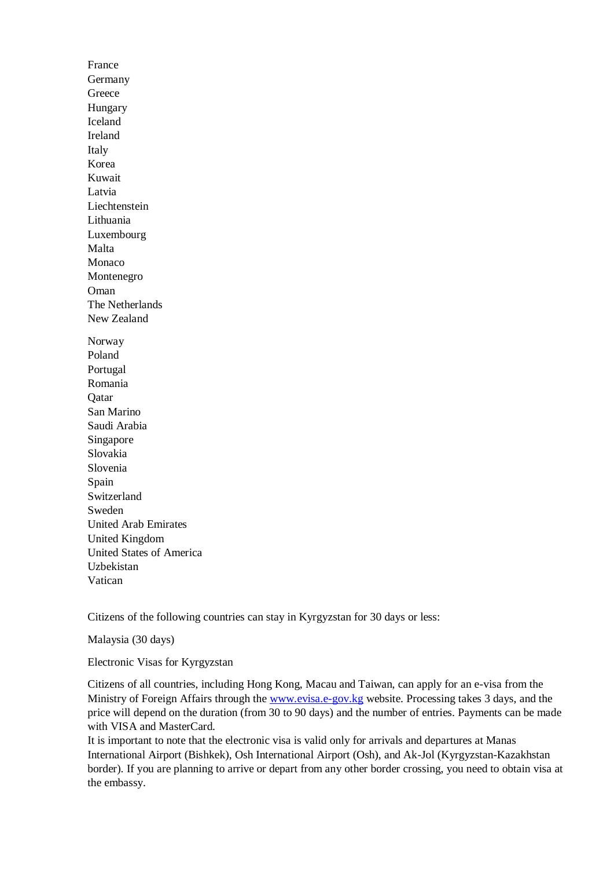France Germany Greece Hungary Iceland Ireland Italy Korea Kuwait Latvia Liechtenstein Lithuania Luxembourg Malta Monaco Montenegro Oman The Netherlands New Zealand Norway Poland Portugal Romania Qatar San Marino Saudi Arabia Singapore Slovakia Slovenia Spain Switzerland Sweden United Arab Emirates United Kingdom United States of America Uzbekistan Vatican

Citizens of the following countries can stay in Kyrgyzstan for 30 days or less:

Malaysia (30 days)

Electronic Visas for Kyrgyzstan

Citizens of all countries, including Hong Kong, Macau and Taiwan, can apply for an e-visa from the Ministry of Foreign Affairs through the [www.evisa.e-gov.kg](http://www.evisa.e-gov.kg/) website. Processing takes 3 days, and the price will depend on the duration (from 30 to 90 days) and the number of entries. Payments can be made with VISA and MasterCard.

It is important to note that the electronic visa is valid only for arrivals and departures at Manas International Airport (Bishkek), Osh International Airport (Osh), and Ak-Jol (Kyrgyzstan-Kazakhstan border). If you are planning to arrive or depart from any other border crossing, you need to obtain visa at the embassy.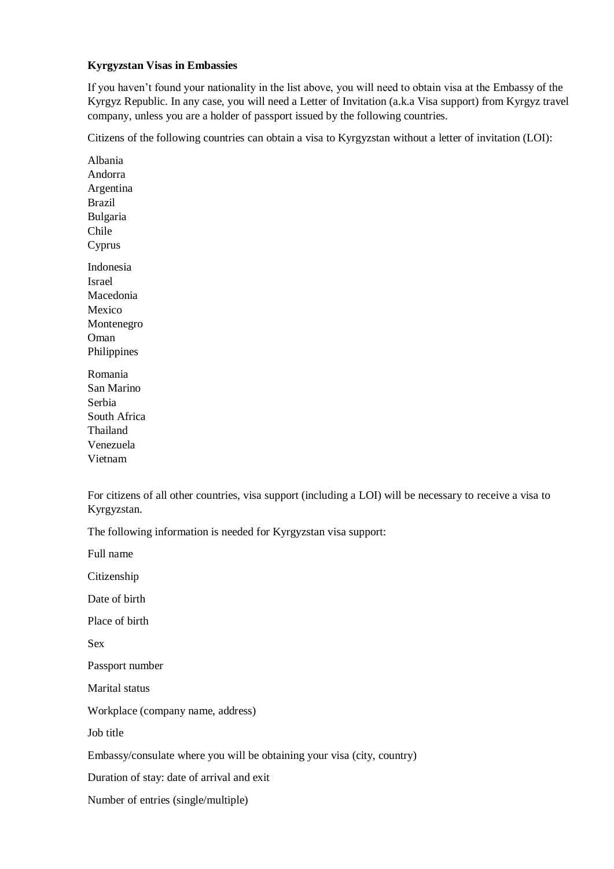### **Kyrgyzstan Visas in Embassies**

If you haven't found your nationality in the list above, you will need to obtain visa at the Embassy of the Kyrgyz Republic. In any case, you will need a Letter of Invitation (a.k.a Visa support) from Kyrgyz travel company, unless you are a holder of passport issued by the following countries.

Citizens of the following countries can obtain a visa to Kyrgyzstan without a letter of invitation (LOI):

Albania Andorra Argentina Brazil Bulgaria Chile Cyprus Indonesia Israel Macedonia Mexico Montenegro Oman Philippines Romania San Marino Serbia South Africa

Thailand Venezuela Vietnam

For citizens of all other countries, visa support (including a LOI) will be necessary to receive a visa to Kyrgyzstan.

The following information is needed for Kyrgyzstan visa support:

Full name Citizenship Date of birth Place of birth Sex Passport number Marital status Workplace (company name, address) Job title Embassy/consulate where you will be obtaining your visa (city, country) Duration of stay: date of arrival and exit Number of entries (single/multiple)